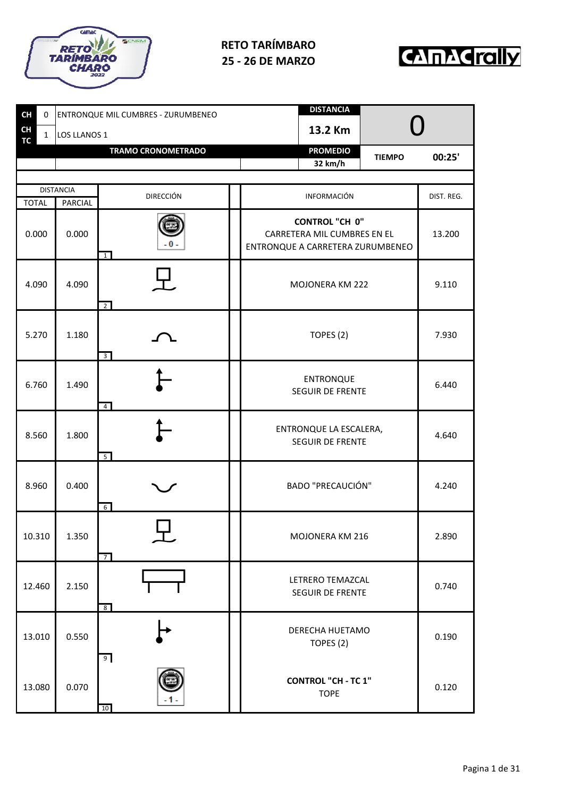



| <b>CH</b><br>0<br><b>CH</b> |              | <b>ENTRONQUE MIL CUMBRES - ZURUMBENEO</b> |                           | <b>DISTANCIA</b><br>13.2 Km |                                                                                          |                                      |            |
|-----------------------------|--------------|-------------------------------------------|---------------------------|-----------------------------|------------------------------------------------------------------------------------------|--------------------------------------|------------|
| TC                          | $\mathbf{1}$ | LOS LLANOS 1                              | <b>TRAMO CRONOMETRADO</b> |                             | <b>PROMEDIO</b>                                                                          |                                      |            |
|                             |              |                                           |                           |                             | 32 km/h                                                                                  | <b>TIEMPO</b>                        | 00:25'     |
|                             |              |                                           |                           |                             |                                                                                          |                                      |            |
| <b>TOTAL</b>                |              | <b>DISTANCIA</b><br><b>PARCIAL</b>        | <b>DIRECCIÓN</b>          |                             | INFORMACIÓN                                                                              |                                      | DIST. REG. |
| 0.000                       |              | 0.000                                     | - 0 -<br>$\overline{1}$   |                             | <b>CONTROL "CH 0"</b><br>CARRETERA MIL CUMBRES EN EL<br>ENTRONQUE A CARRETERA ZURUMBENEO |                                      | 13.200     |
| 4.090                       |              | 4.090                                     | $\overline{2}$            |                             | MOJONERA KM 222                                                                          | 9.110                                |            |
| 5.270                       |              | 1.180                                     | $\overline{3}$            |                             | TOPES (2)                                                                                | 7.930                                |            |
| 6.760                       |              | 1.490                                     | $\overline{4}$            |                             | <b>ENTRONQUE</b><br>SEGUIR DE FRENTE                                                     | 6.440                                |            |
| 8.560                       |              | 1.800                                     | 5                         |                             | ENTRONQUE LA ESCALERA,<br><b>SEGUIR DE FRENTE</b>                                        |                                      | 4.640      |
| 8.960                       |              | 0.400                                     | $6\overline{6}$           |                             | <b>BADO "PRECAUCIÓN"</b>                                                                 |                                      | 4.240      |
| 10.310                      |              | 1.350                                     | ┯<br>$\overline{7}$       |                             | MOJONERA KM 216                                                                          |                                      | 2.890      |
| 12.460                      |              | 2.150                                     | 8 <sup>8</sup>            |                             |                                                                                          | LETRERO TEMAZCAL<br>SEGUIR DE FRENTE |            |
| 13.010                      |              | 0.550                                     | 9 <sub>o</sub>            |                             | DERECHA HUETAMO<br>TOPES (2)                                                             |                                      | 0.190      |
| 13.080                      |              | 0.070                                     | 10                        |                             | <b>CONTROL "CH - TC 1"</b><br><b>TOPE</b>                                                |                                      | 0.120      |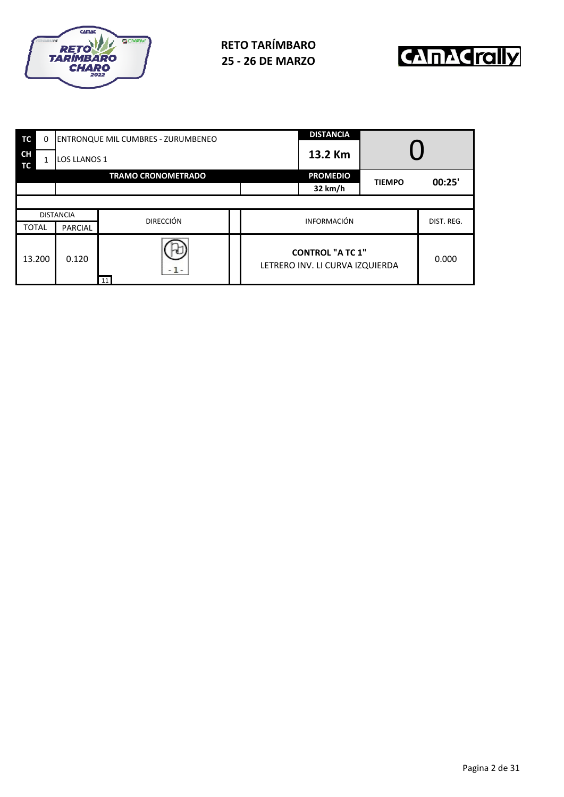



| TC              | 0 |                     | <b>ENTRONQUE MIL CUMBRES - ZURUMBENEO</b> |  |                                                            | <b>DISTANCIA</b> |               |            |
|-----------------|---|---------------------|-------------------------------------------|--|------------------------------------------------------------|------------------|---------------|------------|
| <b>CH</b><br>ТC |   | <b>LOS LLANOS 1</b> |                                           |  | 13.2 Km                                                    |                  |               |            |
|                 |   |                     | <b>TRAMO CRONOMETRADO</b>                 |  |                                                            | <b>PROMEDIO</b>  | <b>TIEMPO</b> | 00:25'     |
|                 |   |                     |                                           |  |                                                            | 32 km/h          |               |            |
|                 |   |                     |                                           |  |                                                            |                  |               |            |
|                 |   | <b>DISTANCIA</b>    | <b>DIRECCIÓN</b>                          |  | <b>INFORMACIÓN</b>                                         |                  |               | DIST. REG. |
| <b>TOTAL</b>    |   | <b>PARCIAL</b>      |                                           |  |                                                            |                  |               |            |
| 13.200          |   | 0.120               | $-1-$<br>11                               |  | <b>CONTROL "A TC 1"</b><br>LETRERO INV. LI CURVA IZQUIERDA |                  | 0.000         |            |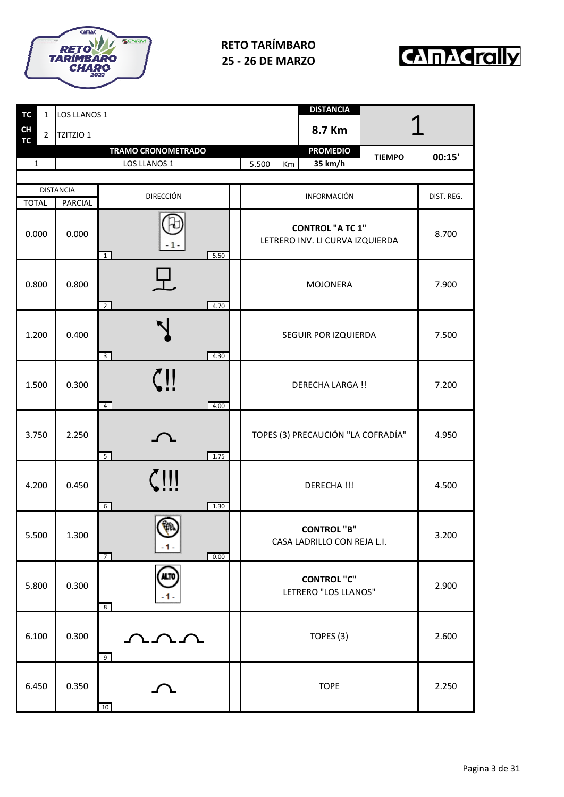



| <b>TC</b><br>$\mathbf{1}$      | LOS LLANOS 1     |                                              |  |             | <b>DISTANCIA</b>                                           |               |            |  |
|--------------------------------|------------------|----------------------------------------------|--|-------------|------------------------------------------------------------|---------------|------------|--|
| CH<br>$2^{\circ}$<br><b>TC</b> | <b>TZITZIO 1</b> |                                              |  |             | 8.7 Km                                                     |               |            |  |
| $\mathbf 1$                    |                  | <b>TRAMO CRONOMETRADO</b><br>LOS LLANOS 1    |  | 5.500<br>Km | <b>PROMEDIO</b><br>35 km/h                                 | <b>TIEMPO</b> | 00:15'     |  |
|                                |                  |                                              |  |             |                                                            |               |            |  |
|                                | <b>DISTANCIA</b> | <b>DIRECCIÓN</b>                             |  |             | INFORMACIÓN                                                |               | DIST. REG. |  |
| <b>TOTAL</b>                   | <b>PARCIAL</b>   |                                              |  |             |                                                            |               |            |  |
| 0.000                          | 0.000            | - 1 -<br>5.50<br>$\overline{1}$              |  |             | <b>CONTROL "A TC 1"</b><br>LETRERO INV. LI CURVA IZQUIERDA |               | 8.700      |  |
| 0.800                          | 0.800            | 4.70<br>$\overline{2}$                       |  |             | MOJONERA                                                   |               | 7.900      |  |
| 1.200                          | 0.400            | $\overline{3}$<br>4.30                       |  |             | SEGUIR POR IZQUIERDA                                       |               |            |  |
| 1.500                          | 0.300            | $\zeta$ ! !<br>$\overline{4}$<br>4.00        |  |             | <b>DERECHA LARGA !!</b>                                    |               | 7.200      |  |
| 3.750                          | 2.250            | $5\overline{)}$<br>1.75                      |  |             | TOPES (3) PRECAUCIÓN "LA COFRADÍA"                         |               | 4.950      |  |
| 4.200                          | 0.450            | !!!<br>1.30<br>$6\overline{6}$               |  |             | DERECHA !!!                                                |               | 4.500      |  |
| 5.500                          | 1.300            | <b>CA</b><br>$-1-$<br>0.00<br>$\overline{7}$ |  |             | <b>CONTROL "B"</b><br>CASA LADRILLO CON REJA L.I.          |               | 3.200      |  |
| 5.800                          | 0.300            | ALTO<br>.1.<br>8                             |  |             | <b>CONTROL "C"</b><br>LETRERO "LOS LLANOS"                 |               | 2.900      |  |
| 6.100                          | 0.300            | ひひひ<br>9                                     |  |             | TOPES (3)                                                  |               | 2.600      |  |
| 6.450                          | 0.350            | 10                                           |  |             | <b>TOPE</b>                                                |               | 2.250      |  |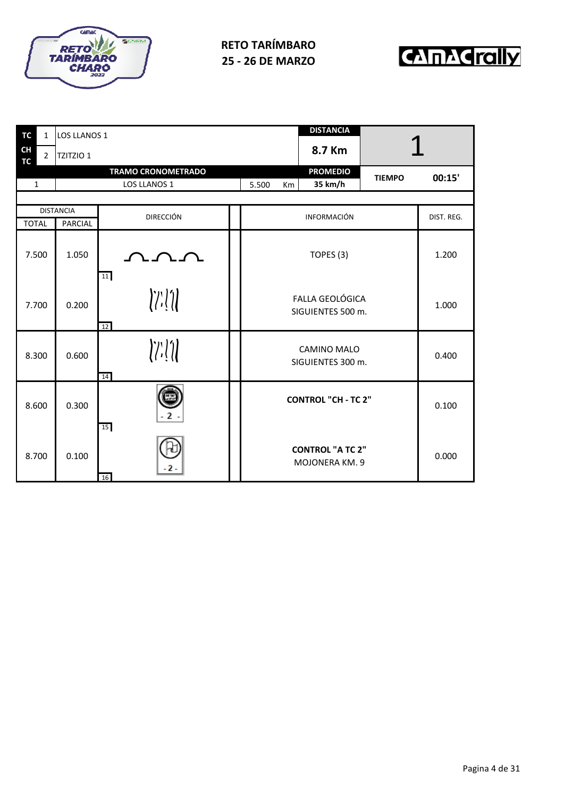



| <b>TC</b>              | $\mathbf{1}$   | LOS LLANOS 1     |                                                                                                                                                                                                                                                                                                                                                                                                                                                                                                                                                                                                                                                                                                                                             |             | <b>DISTANCIA</b>                            |               |            |
|------------------------|----------------|------------------|---------------------------------------------------------------------------------------------------------------------------------------------------------------------------------------------------------------------------------------------------------------------------------------------------------------------------------------------------------------------------------------------------------------------------------------------------------------------------------------------------------------------------------------------------------------------------------------------------------------------------------------------------------------------------------------------------------------------------------------------|-------------|---------------------------------------------|---------------|------------|
| <b>CH</b><br><b>TC</b> | $\overline{2}$ | TZITZIO 1        |                                                                                                                                                                                                                                                                                                                                                                                                                                                                                                                                                                                                                                                                                                                                             |             | 8.7 Km                                      |               |            |
|                        |                |                  | <b>TRAMO CRONOMETRADO</b>                                                                                                                                                                                                                                                                                                                                                                                                                                                                                                                                                                                                                                                                                                                   |             | <b>PROMEDIO</b>                             | <b>TIEMPO</b> | 00:15'     |
| $\mathbf{1}$           |                |                  | LOS LLANOS 1                                                                                                                                                                                                                                                                                                                                                                                                                                                                                                                                                                                                                                                                                                                                | 5.500<br>Km | 35 km/h                                     |               |            |
|                        |                |                  |                                                                                                                                                                                                                                                                                                                                                                                                                                                                                                                                                                                                                                                                                                                                             |             |                                             |               |            |
|                        |                | <b>DISTANCIA</b> | <b>DIRECCIÓN</b>                                                                                                                                                                                                                                                                                                                                                                                                                                                                                                                                                                                                                                                                                                                            |             | INFORMACIÓN                                 |               | DIST. REG. |
| <b>TOTAL</b>           |                | PARCIAL          |                                                                                                                                                                                                                                                                                                                                                                                                                                                                                                                                                                                                                                                                                                                                             |             |                                             |               |            |
| 7.500                  |                | 1.050            | ひひひ<br>11                                                                                                                                                                                                                                                                                                                                                                                                                                                                                                                                                                                                                                                                                                                                   |             | TOPES (3)                                   |               | 1.200      |
| 7.700                  |                | 0.200            | $\left\langle \left\langle \left\langle \cdot\right\rangle \right\rangle \right\rangle \left\langle \left\langle \cdot\right\rangle \right\rangle \left\langle \cdot\right\rangle \left\langle \cdot\right\rangle \left\langle \cdot\right\rangle \left\langle \cdot\right\rangle \left\langle \cdot\right\rangle \left\langle \cdot\right\rangle \left\langle \cdot\right\rangle \left\langle \cdot\right\rangle \left\langle \cdot\right\rangle \left\langle \cdot\right\rangle \left\langle \cdot\right\rangle \left\langle \cdot\right\rangle \left\langle \cdot\right\rangle \left\langle \cdot\right\rangle \left\langle \cdot\right\rangle \left\langle \cdot\right\rangle \left\langle \cdot\right\rangle \left\langle \cdot$<br>12 |             | <b>FALLA GEOLÓGICA</b><br>SIGUIENTES 500 m. |               | 1.000      |
| 8.300                  |                | 0.600            | $\left\langle \left\langle \cdot\right\rangle \right\rangle \left\langle \cdot\right\rangle$<br>14                                                                                                                                                                                                                                                                                                                                                                                                                                                                                                                                                                                                                                          |             | CAMINO MALO<br>SIGUIENTES 300 m.            |               | 0.400      |
| 8.600                  |                | 0.300            | 15                                                                                                                                                                                                                                                                                                                                                                                                                                                                                                                                                                                                                                                                                                                                          |             | <b>CONTROL "CH - TC 2"</b>                  |               | 0.100      |
| 8.700                  |                | 0.100            | 16                                                                                                                                                                                                                                                                                                                                                                                                                                                                                                                                                                                                                                                                                                                                          |             | <b>CONTROL "A TC 2"</b><br>MOJONERA KM. 9   |               | 0.000      |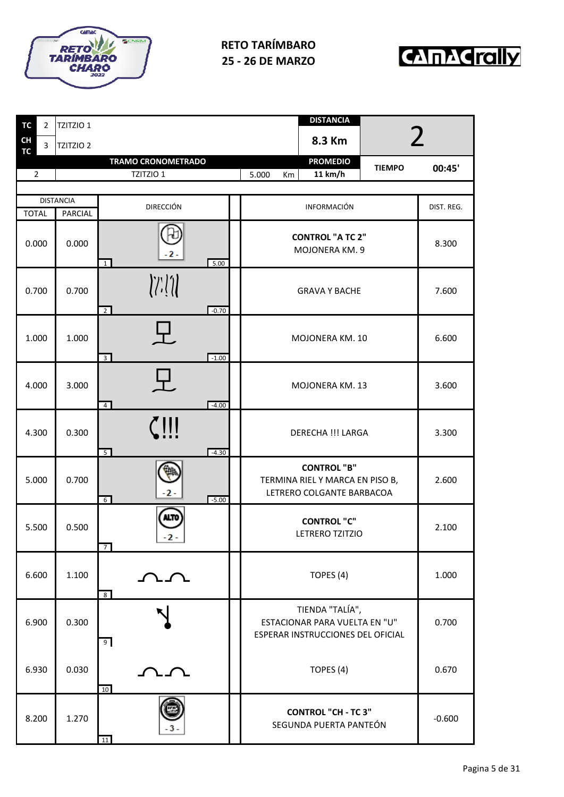



| TC             | $\overline{2}$ | TZITZIO 1                          |                                 |         |                   | <b>DISTANCIA</b>                                                                      |                |            |
|----------------|----------------|------------------------------------|---------------------------------|---------|-------------------|---------------------------------------------------------------------------------------|----------------|------------|
| CH<br>TC       | 3              | TZITZIO <sub>2</sub>               |                                 |         |                   | 8.3 Km                                                                                | $\overline{2}$ |            |
|                |                |                                    | <b>TRAMO CRONOMETRADO</b>       |         |                   | <b>PROMEDIO</b>                                                                       | <b>TIEMPO</b>  | 00:45'     |
| $\overline{2}$ |                |                                    | TZITZIO 1                       |         | 5.000<br>Km       | 11 km/h                                                                               |                |            |
| <b>TOTAL</b>   |                | <b>DISTANCIA</b><br><b>PARCIAL</b> | <b>DIRECCIÓN</b>                |         |                   | <b>INFORMACIÓN</b>                                                                    |                | DIST. REG. |
| 0.000          |                | 0.000                              | $-2-$<br>$\mathbf{1}$           | 5.00    |                   | <b>CONTROL "A TC 2"</b><br>MOJONERA KM. 9                                             |                | 8.300      |
| 0.700          |                | 0.700                              | $\overline{2}$                  | $-0.70$ |                   | <b>GRAVA Y BACHE</b>                                                                  |                | 7.600      |
| 1.000          |                | 1.000                              | $\overline{3}$                  | $-1.00$ |                   | MOJONERA KM. 10                                                                       |                | 6.600      |
| 4.000          |                | 3.000                              | ┯.<br>$\overline{4}$            | $-4.00$ |                   | MOJONERA KM. 13                                                                       |                | 3.600      |
| 4.300          |                | 0.300                              | 5 <sup>5</sup>                  | $-4.30$ | DERECHA !!! LARGA |                                                                                       | 3.300          |            |
| 5.000          |                | 0.700                              | $-2-$<br>$6\overline{6}$        | $-5.00$ |                   | <b>CONTROL "B"</b><br>TERMINA RIEL Y MARCA EN PISO B,<br>LETRERO COLGANTE BARBACOA    |                | 2.600      |
| 5.500          |                | 0.500                              | ALTO<br>$-2-$<br>$\overline{7}$ |         |                   | <b>CONTROL "C"</b><br>LETRERO TZITZIO                                                 |                | 2.100      |
| 6.600          |                | 1.100                              | ひひ<br>8 <sup>°</sup>            |         |                   | TOPES (4)                                                                             |                | 1.000      |
| 6.900          |                | 0.300                              | 9                               |         |                   | TIENDA "TALÍA",<br>ESTACIONAR PARA VUELTA EN "U"<br>ESPERAR INSTRUCCIONES DEL OFICIAL |                | 0.700      |
| 6.930          |                | 0.030                              | 10                              |         |                   | TOPES (4)                                                                             |                | 0.670      |
| 8.200          |                | 1.270                              | 11                              |         |                   | <b>CONTROL "CH - TC 3"</b><br>SEGUNDA PUERTA PANTEÓN                                  |                | $-0.600$   |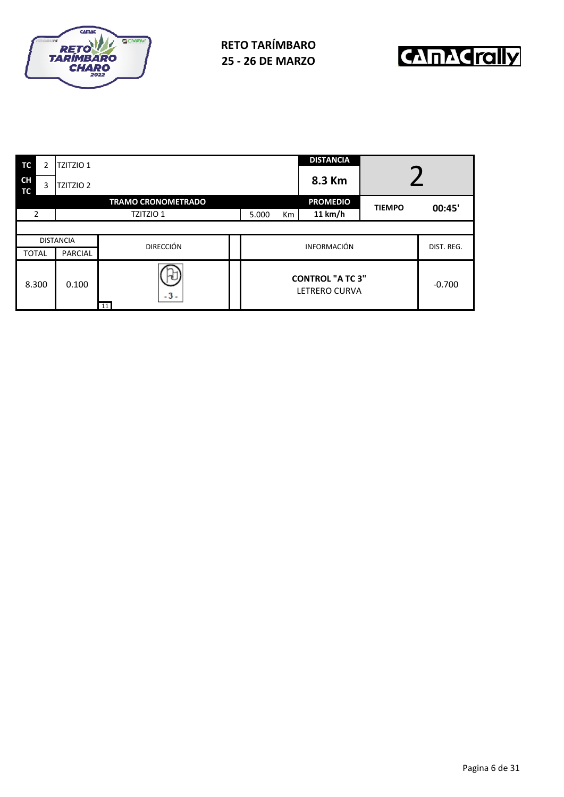



| TC              | $\overline{2}$ | <b>TZITZIO 1</b> |                           |       |                | <b>DISTANCIA</b>                         |               |            |
|-----------------|----------------|------------------|---------------------------|-------|----------------|------------------------------------------|---------------|------------|
| <b>CH</b><br>ТC | 3              | <b>TZITZIO 2</b> |                           |       |                | 8.3 Km                                   |               |            |
|                 |                |                  | <b>TRAMO CRONOMETRADO</b> |       |                | <b>PROMEDIO</b>                          | <b>TIEMPO</b> | 00:45'     |
| 2               |                |                  | TZITZIO 1                 | 5.000 | K <sub>m</sub> | 11 km/h                                  |               |            |
|                 |                |                  |                           |       |                |                                          |               |            |
|                 |                | <b>DISTANCIA</b> | <b>DIRECCIÓN</b>          |       |                | <b>INFORMACIÓN</b>                       |               | DIST. REG. |
| <b>TOTAL</b>    |                | <b>PARCIAL</b>   |                           |       |                |                                          |               |            |
| 8.300           |                | 0.100            | $-3-$<br>11               |       |                | <b>CONTROL "A TC 3"</b><br>LETRERO CURVA |               | $-0.700$   |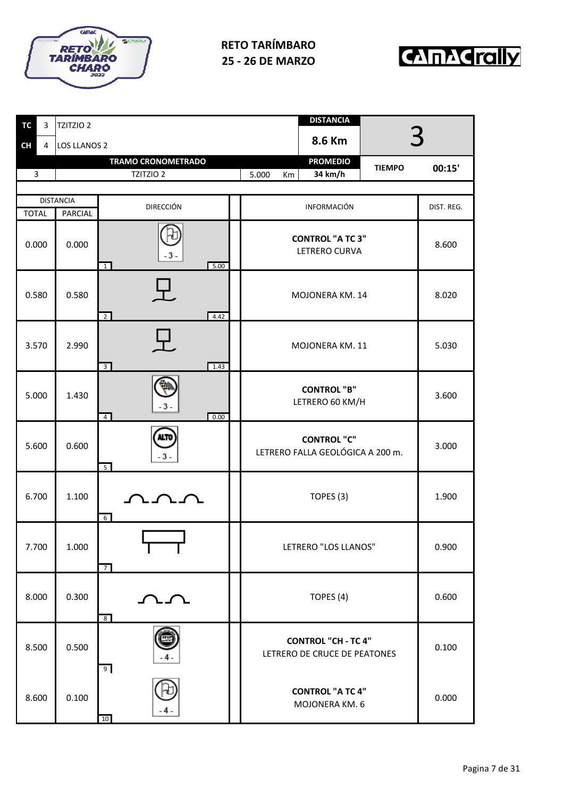



| <b>TC</b><br>3 | TZITZIO 2           |                                          | <b>DISTANCIA</b>                                           |            |
|----------------|---------------------|------------------------------------------|------------------------------------------------------------|------------|
| <b>CH</b><br>4 | <b>LOS LLANOS 2</b> |                                          | 8.6 Km                                                     |            |
|                |                     | <b>TRAMO CRONOMETRADO</b>                | <b>PROMEDIO</b><br><b>TIEMPO</b>                           | 00:15'     |
| 3              |                     | TZITZIO 2                                | 34 km/h<br>5.000<br>Km                                     |            |
|                | <b>DISTANCIA</b>    |                                          |                                                            |            |
| <b>TOTAL</b>   | PARCIAL             | <b>DIRECCIÓN</b>                         | <b>INFORMACIÓN</b>                                         | DIST. REG. |
| 0.000          | 0.000               | $-3-$<br>$\overline{1}$<br>5.00          | <b>CONTROL "A TC 3"</b><br><b>LETRERO CURVA</b>            | 8.600      |
| 0.580          | 0.580               | $\textbf{T}$ .<br>$\overline{2}$<br>4.42 | MOJONERA KM. 14                                            | 8.020      |
| 3.570          | 2.990               | 3 <sup>1</sup><br>1.43                   | MOJONERA KM. 11                                            | 5.030      |
| 5.000          | 1.430               | $-3$<br>0.00<br>$\overline{4}$           | <b>CONTROL "B"</b><br>LETRERO 60 KM/H                      | 3.600      |
| 5.600          | 0.600               | ALTO<br>$-3-$<br>5 <sup>1</sup>          | <b>CONTROL "C"</b><br>LETRERO FALLA GEOLÓGICA A 200 m.     | 3.000      |
| 6.700          | 1.100               | ハンソ<br>6                                 | TOPES (3)                                                  | 1.900      |
| 7.700          | 1.000               | $\overline{7}$                           | LETRERO "LOS LLANOS"                                       | 0.900      |
| 8.000          | 0.300               | ひひ<br>8                                  | TOPES (4)                                                  | 0.600      |
| 8.500          | 0.500               | 9                                        | <b>CONTROL "CH - TC 4"</b><br>LETRERO DE CRUCE DE PEATONES | 0.100      |
| 8.600          | 0.100               | 10                                       | <b>CONTROL "A TC 4"</b><br>MOJONERA KM. 6                  | 0.000      |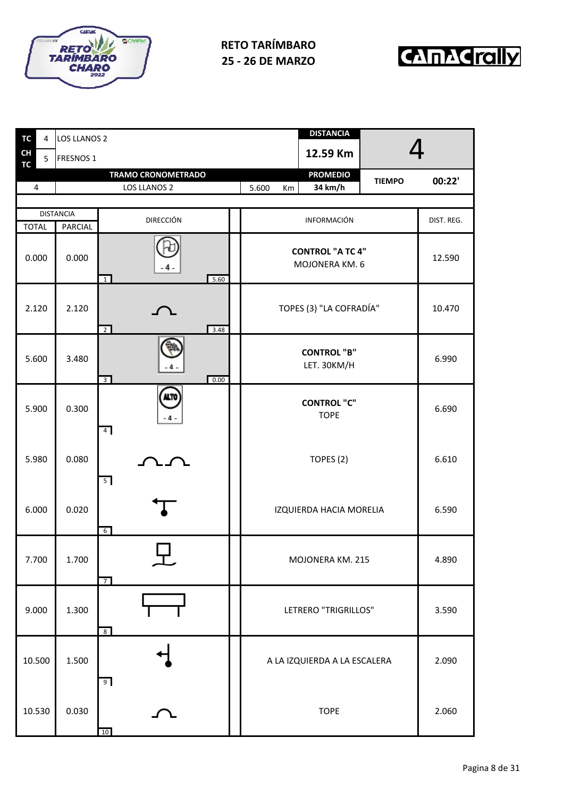



| TC<br>4        | <b>LOS LLANOS 2</b> |                                            | <b>DISTANCIA</b>                          |            |
|----------------|---------------------|--------------------------------------------|-------------------------------------------|------------|
| CH<br>5        | <b>FRESNOS 1</b>    |                                            | 12.59 Km                                  |            |
| <b>TC</b>      |                     | <b>TRAMO CRONOMETRADO</b>                  | <b>PROMEDIO</b><br><b>TIEMPO</b>          | 00:22'     |
| $\overline{4}$ |                     | LOS LLANOS 2                               | 34 km/h<br>5.600<br>Km                    |            |
|                | <b>DISTANCIA</b>    |                                            |                                           |            |
| <b>TOTAL</b>   | PARCIAL             | <b>DIRECCIÓN</b>                           | INFORMACIÓN                               | DIST. REG. |
| 0.000          | 0.000               | 5.60<br>$\overline{1}$                     | <b>CONTROL "A TC 4"</b><br>MOJONERA KM. 6 | 12.590     |
| 2.120          | 2.120               | 3.48<br>$\overline{2}$                     | TOPES (3) "LA COFRADÍA"                   | 10.470     |
| 5.600          | 3.480               | 0.00<br>$\overline{3}$                     | <b>CONTROL "B"</b><br>LET. 30KM/H         | 6.990      |
| 5.900          | 0.300               | <b>NLTO</b><br>$\Lambda$<br>4 <sup>1</sup> | <b>CONTROL "C"</b><br><b>TOPE</b>         | 6.690      |
| 5.980          | 0.080               | 5                                          | TOPES (2)                                 | 6.610      |
| 6.000          | 0.020               | $6\overline{6}$                            | IZQUIERDA HACIA MORELIA                   | 6.590      |
| 7.700          | 1.700               | $\overline{7}$                             | MOJONERA KM. 215                          | 4.890      |
| 9.000          | 1.300               | 8 <sup>8</sup>                             | LETRERO "TRIGRILLOS"                      | 3.590      |
| 10.500         | 1.500               | 9                                          | A LA IZQUIERDA A LA ESCALERA              | 2.090      |
| 10.530         | 0.030               | $10\,$                                     | <b>TOPE</b>                               | 2.060      |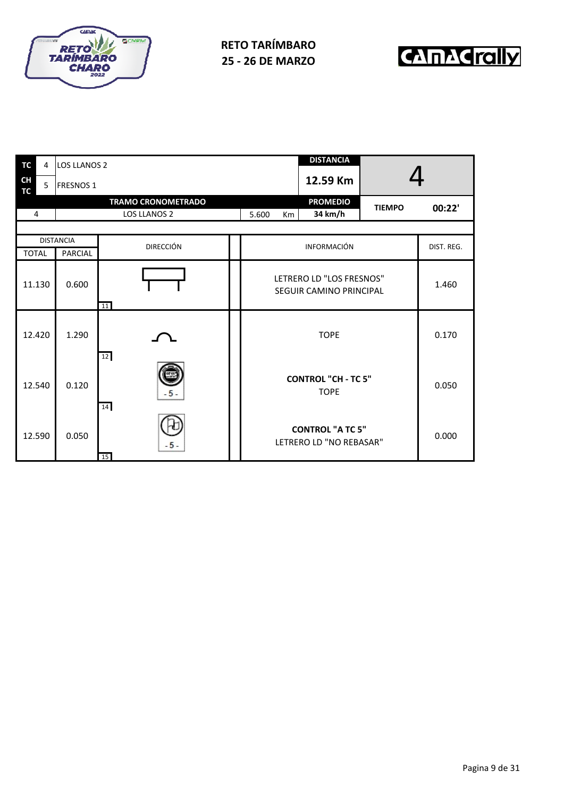



| <b>TC</b>              | 4      | <b>LOS LLANOS 2</b> |                           |             | <b>DISTANCIA</b>                                    |               |            |
|------------------------|--------|---------------------|---------------------------|-------------|-----------------------------------------------------|---------------|------------|
| <b>CH</b><br><b>TC</b> | 5      | <b>FRESNOS 1</b>    |                           |             | 12.59 Km                                            |               |            |
|                        |        |                     | <b>TRAMO CRONOMETRADO</b> |             | <b>PROMEDIO</b>                                     | <b>TIEMPO</b> | 00:22'     |
| 4                      |        |                     | LOS LLANOS 2              | 5.600<br>Km | 34 km/h                                             |               |            |
|                        |        |                     |                           |             |                                                     |               |            |
|                        |        | <b>DISTANCIA</b>    | <b>DIRECCIÓN</b>          |             | <b>INFORMACIÓN</b>                                  |               | DIST. REG. |
| <b>TOTAL</b>           |        | <b>PARCIAL</b>      |                           |             |                                                     |               |            |
|                        | 11.130 | 0.600               | 11                        |             | LETRERO LD "LOS FRESNOS"<br>SEGUIR CAMINO PRINCIPAL |               | 1.460      |
|                        | 12.420 | 1.290               | 12                        |             | <b>TOPE</b>                                         |               | 0.170      |
|                        | 12.540 | 0.120               | $-5-$<br>14               |             | <b>CONTROL "CH - TC 5"</b><br><b>TOPE</b>           |               | 0.050      |
|                        | 12.590 | 0.050               | $-5-$<br>15               |             | <b>CONTROL "A TC 5"</b><br>LETRERO LD "NO REBASAR"  |               | 0.000      |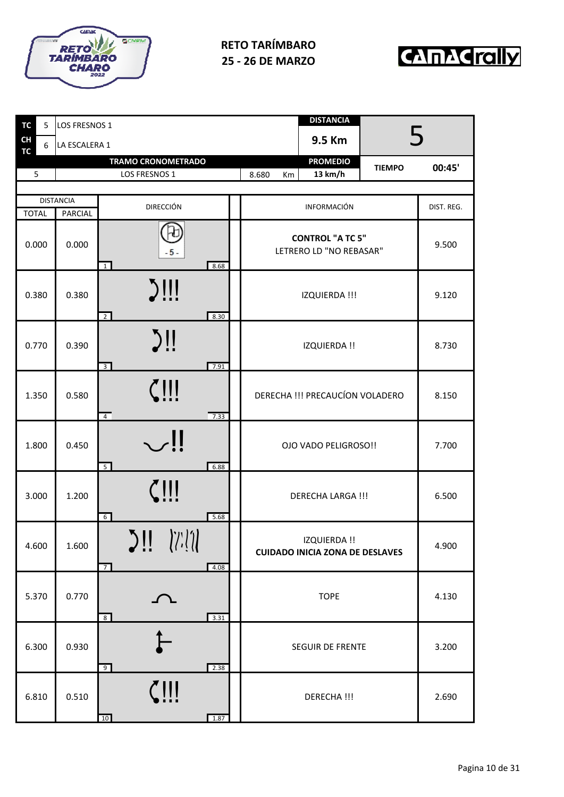



| TC                     | 5     | LOS FRESNOS 1               |                                                |             | <b>DISTANCIA</b>                                       |               |        |
|------------------------|-------|-----------------------------|------------------------------------------------|-------------|--------------------------------------------------------|---------------|--------|
| <b>CH</b><br><b>TC</b> | 6     | LA ESCALERA 1               |                                                |             | 9.5 Km                                                 | 5             |        |
|                        | 5     |                             | <b>TRAMO CRONOMETRADO</b><br>LOS FRESNOS 1     | 8.680<br>Km | <b>PROMEDIO</b><br>13 km/h                             | <b>TIEMPO</b> | 00:45' |
|                        |       |                             |                                                |             |                                                        |               |        |
| <b>TOTAL</b>           |       | <b>DISTANCIA</b><br>PARCIAL | <b>DIRECCIÓN</b>                               |             | <b>INFORMACIÓN</b>                                     |               |        |
|                        | 0.000 | 0.000                       | $-5-$<br>8.68<br>$\overline{1}$                |             | <b>CONTROL "A TC 5"</b><br>LETRERO LD "NO REBASAR"     |               | 9.500  |
|                        | 0.380 | 0.380                       | $\sum$<br>$\overline{2}$<br>8.30               |             | IZQUIERDA !!!                                          |               | 9.120  |
|                        | 0.770 | 0.390                       | $\sum$<br>$\overline{3}$<br>7.91               |             | <b>IZQUIERDA!!</b>                                     |               | 8.730  |
|                        | 1.350 | 0.580                       | $\zeta$ !!!<br>$\overline{4}$<br>7.33          |             | DERECHA !!! PRECAUCÍON VOLADERO                        |               | 8.150  |
|                        | 1.800 | 0.450                       | $\mathop{\cup}$<br>5<br>6.88                   |             | OJO VADO PELIGROSO!!                                   |               | 7.700  |
|                        | 3.000 | 1.200                       | $\zeta$ !!!<br>6 <sup>1</sup><br>5.68          |             | <b>DERECHA LARGA !!!</b>                               |               | 6.500  |
|                        | 4.600 | 1.600                       | $\sum$ ii $\sum_{i}$<br>4.08<br>$\overline{7}$ |             | IZQUIERDA !!<br><b>CUIDADO INICIA ZONA DE DESLAVES</b> |               | 4.900  |
|                        | 5.370 | 0.770                       | 3.31<br>8 <sup>8</sup>                         |             | <b>TOPE</b>                                            |               | 4.130  |
|                        | 6.300 | 0.930                       | 9<br>2.38                                      |             | <b>SEGUIR DE FRENTE</b>                                |               | 3.200  |
|                        | 6.810 | 0.510                       | $\zeta$ !!!<br>1.87<br>10                      |             | DERECHA !!!                                            |               | 2.690  |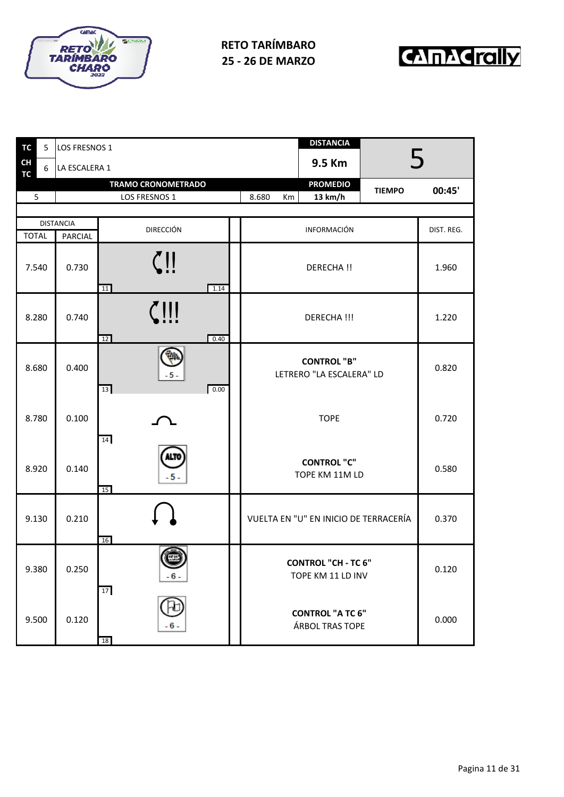



| <b>TC</b>       | 5 | LOS FRESNOS 1    |                           | <b>DISTANCIA</b>                                |            |
|-----------------|---|------------------|---------------------------|-------------------------------------------------|------------|
| <b>CH</b><br>TC | 6 | LA ESCALERA 1    |                           | 9.5 Km                                          |            |
| 5               |   |                  | <b>TRAMO CRONOMETRADO</b> | <b>PROMEDIO</b><br><b>TIEMPO</b>                | 00:45'     |
|                 |   |                  | LOS FRESNOS 1             | 13 km/h<br>8.680<br>Km                          |            |
|                 |   | <b>DISTANCIA</b> |                           |                                                 |            |
| <b>TOTAL</b>    |   | <b>PARCIAL</b>   | <b>DIRECCIÓN</b>          | INFORMACIÓN                                     | DIST. REG. |
| 7.540           |   | 0.730            | 1.14<br>11                | DERECHA !!                                      | 1.960      |
| 8.280           |   | 0.740            | $\zeta$ !!!<br>0.40<br>12 | <b>DERECHA!!!</b>                               | 1.220      |
| 8.680           |   | 0.400            | -5-<br>0.00<br>13         | <b>CONTROL "B"</b><br>LETRERO "LA ESCALERA" LD  | 0.820      |
| 8.780           |   | 0.100            | 14                        | <b>TOPE</b>                                     | 0.720      |
| 8.920           |   | 0.140            | $-5-$<br>15               | <b>CONTROL "C"</b><br>TOPE KM 11M LD            | 0.580      |
| 9.130           |   | 0.210            | 16                        | VUELTA EN "U" EN INICIO DE TERRACERÍA           | 0.370      |
| 9.380           |   | 0.250            | (一<br>- 6 -<br>17         | <b>CONTROL "CH - TC 6"</b><br>TOPE KM 11 LD INV | 0.120      |
| 9.500           |   | 0.120            | - 6 -<br>18               | <b>CONTROL "A TC 6"</b><br>ÁRBOL TRAS TOPE      | 0.000      |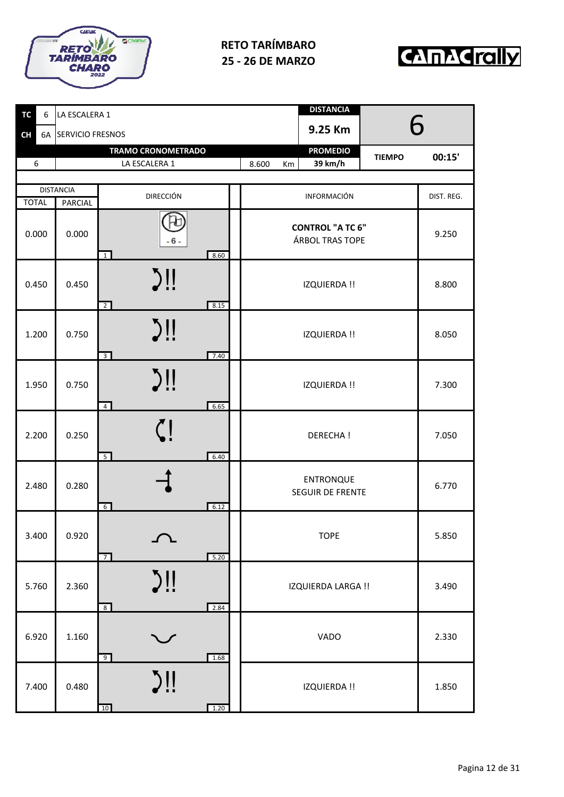



| <b>TC</b><br>6  | LA ESCALERA 1    |                                              | <b>DISTANCIA</b>                            |            |
|-----------------|------------------|----------------------------------------------|---------------------------------------------|------------|
| <b>CH</b><br>6A | SERVICIO FRESNOS |                                              | 6<br>9.25 Km                                |            |
|                 |                  | <b>TRAMO CRONOMETRADO</b>                    | <b>PROMEDIO</b><br><b>TIEMPO</b>            | 00:15'     |
| 6               |                  | LA ESCALERA 1                                | 39 km/h<br>8.600<br>Km                      |            |
|                 | <b>DISTANCIA</b> |                                              |                                             |            |
| <b>TOTAL</b>    | <b>PARCIAL</b>   | <b>DIRECCIÓN</b>                             | INFORMACIÓN                                 | DIST. REG. |
| 0.000           | 0.000            | $-6-$<br>8.60<br>$\overline{1}$              | <b>CONTROL "A TC 6"</b><br>ÁRBOL TRAS TOPE  | 9.250      |
| 0.450           | 0.450            | $\sum$<br>8.15<br>$\overline{2}$             | <b>IZQUIERDA!!</b>                          | 8.800      |
| 1.200           | 0.750            | $\sum$<br>$\overline{3}$<br>7.40             | <b>IZQUIERDA!!</b>                          | 8.050      |
| 1.950           | 0.750            | $\sum$<br>$\overline{4}$<br>6.65             | IZQUIERDA !!                                | 7.300      |
| 2.200           | 0.250            | 5 <sup>5</sup><br>6.40                       | <b>DERECHA!</b>                             | 7.050      |
| 2.480           | 0.280            | 6.12<br>$6 \overline{6}$                     | <b>ENTRONQUE</b><br><b>SEGUIR DE FRENTE</b> | 6.770      |
| 3.400           | 0.920            | $\curvearrowright$<br>5.20<br>$\overline{7}$ | <b>TOPE</b>                                 | 5.850      |
| 5.760           | 2.360            | $\sum$<br>2.84<br>8 <sup>°</sup>             | IZQUIERDA LARGA !!                          | 3.490      |
| 6.920           | 1.160            | $\smash\smile$<br>1.68<br>9                  | VADO                                        | 2.330      |
| 7.400           | 0.480            | $\sum$<br>1.20<br>10                         | IZQUIERDA !!                                | 1.850      |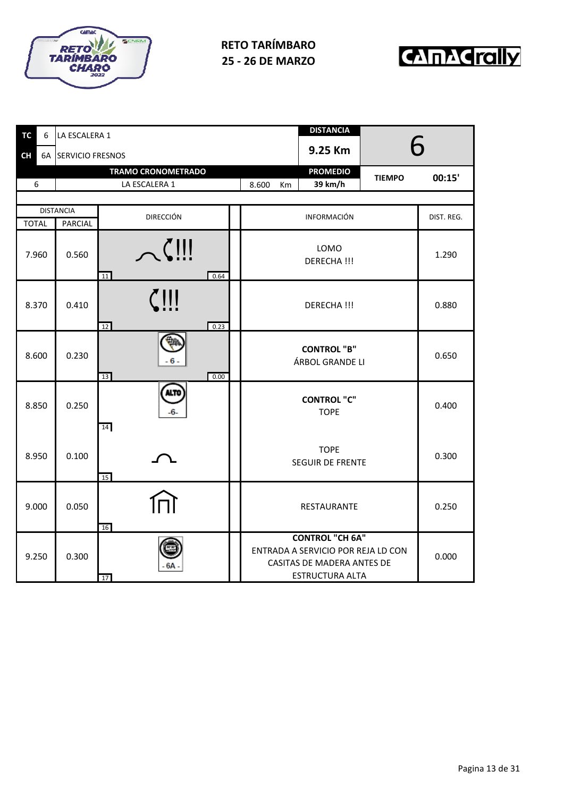



| <b>TC</b><br>6 | LA ESCALERA 1       |                           |  |                                                                                                               | <b>DISTANCIA</b>   |               |            |  |
|----------------|---------------------|---------------------------|--|---------------------------------------------------------------------------------------------------------------|--------------------|---------------|------------|--|
| <b>CH</b>      | 6A SERVICIO FRESNOS | 9.25 Km                   |  |                                                                                                               |                    |               | <b>Ƙ</b>   |  |
|                |                     | <b>TRAMO CRONOMETRADO</b> |  |                                                                                                               | <b>PROMEDIO</b>    | <b>TIEMPO</b> | 00:15'     |  |
| 6              |                     | LA ESCALERA 1             |  | 8.600<br>Кm                                                                                                   | 39 km/h            |               |            |  |
|                | <b>DISTANCIA</b>    | <b>DIRECCIÓN</b>          |  |                                                                                                               | <b>INFORMACIÓN</b> |               | DIST. REG. |  |
| <b>TOTAL</b>   | PARCIAL             |                           |  |                                                                                                               |                    |               |            |  |
| 7.960          | 0.560               | $\sim$<br>0.64<br>11      |  | LOMO<br>DERECHA !!!                                                                                           |                    |               | 1.290      |  |
| 8.370          | 0.410               | $\zeta$ !!!<br>0.23<br>12 |  |                                                                                                               | DERECHA !!!        |               | 0.880      |  |
| 8.600          | 0.230               | - 6 -<br>13<br>0.00       |  | <b>CONTROL "B"</b><br>ÁRBOL GRANDE LI                                                                         |                    |               | 0.650      |  |
| 8.850          | 0.250               | <b>ALTO</b><br>14         |  | <b>CONTROL "C"</b><br><b>TOPE</b>                                                                             |                    |               | 0.400      |  |
| 8.950          | 0.100               | 15                        |  | <b>TOPE</b><br>SEGUIR DE FRENTE                                                                               |                    |               | 0.300      |  |
| 9.000          | 0.050               | 16                        |  | RESTAURANTE                                                                                                   |                    |               | 0.250      |  |
| 9.250          | 0.300               | 6A<br>17                  |  | <b>CONTROL "CH 6A"</b><br>ENTRADA A SERVICIO POR REJA LD CON<br>CASITAS DE MADERA ANTES DE<br>ESTRUCTURA ALTA |                    |               | 0.000      |  |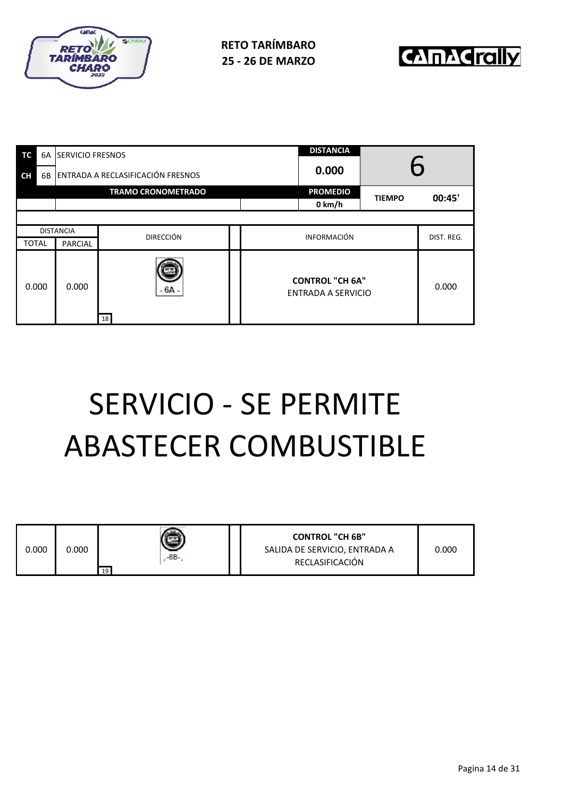



| ТC               | 6A |                                   | <b>SERVICIO FRESNOS</b>    |                           |                                              | <b>DISTANCIA</b> |  |  |  |
|------------------|----|-----------------------------------|----------------------------|---------------------------|----------------------------------------------|------------------|--|--|--|
| <b>CH</b>        | 6B | ENTRADA A RECLASIFICACIÓN FRESNOS |                            |                           | 0.000                                        |                  |  |  |  |
|                  |    | <b>TRAMO CRONOMETRADO</b>         |                            | <b>PROMEDIO</b><br>0 km/h | <b>TIEMPO</b>                                | 00:45'           |  |  |  |
|                  |    |                                   |                            |                           |                                              |                  |  |  |  |
| <b>DISTANCIA</b> |    |                                   | <b>DIRECCIÓN</b>           |                           | <b>INFORMACIÓN</b>                           | DIST. REG.       |  |  |  |
| <b>TOTAL</b>     |    | <b>PARCIAL</b>                    |                            |                           |                                              |                  |  |  |  |
| 0.000            |    | 0.000                             | $-6A -$<br>18 <sup>1</sup> |                           | <b>CONTROL "CH 6A"</b><br>ENTRADA A SERVICIO | 0.000            |  |  |  |

# SERVICIO - SE PERMITE ABASTECER COMBUSTIBLE

| 0.000 | 0.000 | -6B-<br>19 |  | <b>CONTROL "CH 6B"</b><br>SALIDA DE SERVICIO, ENTRADA A<br>RECLASIFICACIÓN | 0.000 |
|-------|-------|------------|--|----------------------------------------------------------------------------|-------|
|-------|-------|------------|--|----------------------------------------------------------------------------|-------|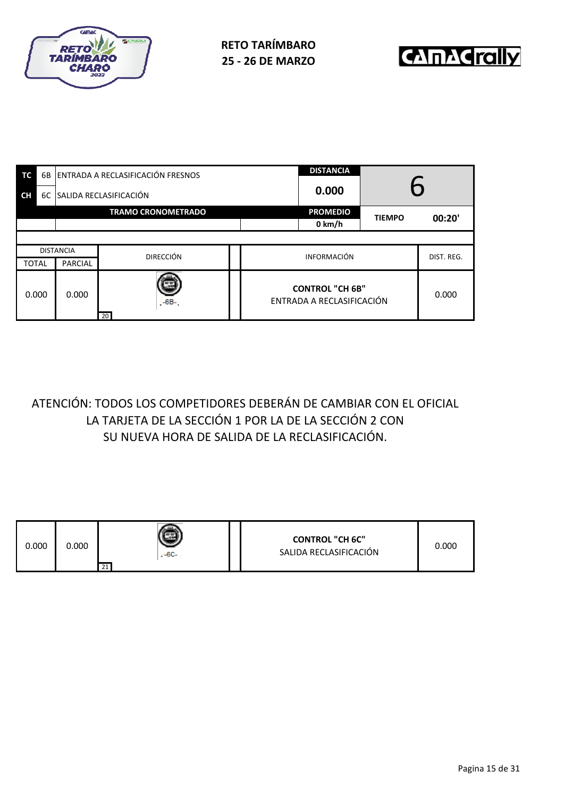



| TC           | 6B |                           | ENTRADA A RECLASIFICACIÓN FRESNOS | <b>DISTANCIA</b>                                    |                 | 6             |            |  |  |
|--------------|----|---------------------------|-----------------------------------|-----------------------------------------------------|-----------------|---------------|------------|--|--|
| <b>CH</b>    | 6C | SALIDA RECLASIFICACIÓN    |                                   | 0.000                                               |                 |               |            |  |  |
|              |    | <b>TRAMO CRONOMETRADO</b> |                                   |                                                     | <b>PROMEDIO</b> | <b>TIEMPO</b> | 00:20'     |  |  |
|              |    |                           |                                   |                                                     | 0 km/h          |               |            |  |  |
|              |    |                           |                                   |                                                     |                 |               |            |  |  |
|              |    | <b>DISTANCIA</b>          | <b>DIRECCIÓN</b>                  | <b>INFORMACIÓN</b>                                  |                 |               | DIST. REG. |  |  |
| <b>TOTAL</b> |    | <b>PARCIAL</b>            |                                   |                                                     |                 |               |            |  |  |
| 0.000        |    | 0.000                     | $-6B-$<br>20                      | <b>CONTROL "CH 6B"</b><br>ENTRADA A RECLASIFICACIÓN |                 | 0.000         |            |  |  |

# ATENCIÓN: TODOS LOS COMPETIDORES DEBERÁN DE CAMBIAR CON EL OFICIAL LA TARJETA DE LA SECCIÓN 1 POR LA DE LA SECCIÓN 2 CON SU NUEVA HORA DE SALIDA DE LA RECLASIFICACIÓN.

| 0.000 | 0.000 | $-6C-$<br>21 |  | <b>CONTROL "CH 6C"</b><br>SALIDA RECLASIFICACIÓN | 0.000 |
|-------|-------|--------------|--|--------------------------------------------------|-------|
|-------|-------|--------------|--|--------------------------------------------------|-------|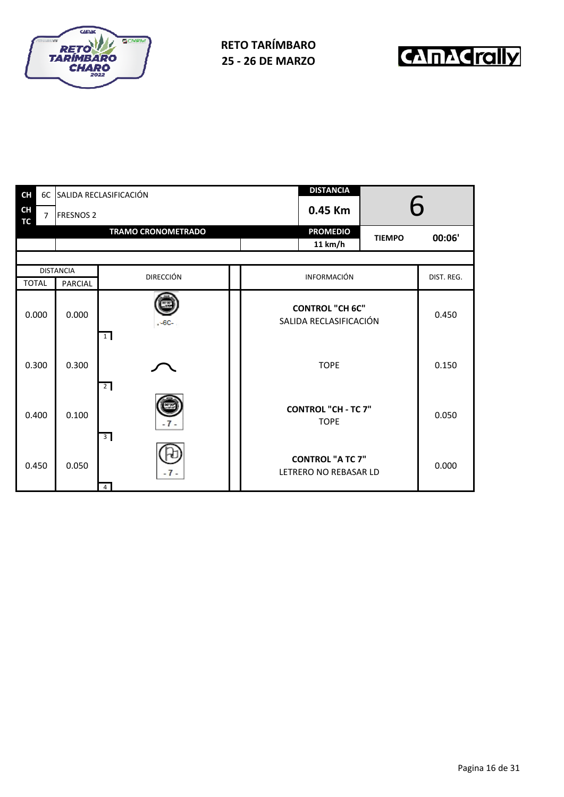



| <b>CH</b>              |                |                  | 6C SALIDA RECLASIFICACIÓN | <b>DISTANCIA</b>                                 |               |            |  |
|------------------------|----------------|------------------|---------------------------|--------------------------------------------------|---------------|------------|--|
| <b>CH</b><br><b>TC</b> | $\overline{7}$ | <b>FRESNOS 2</b> |                           | 0.45 Km                                          | 6             |            |  |
|                        |                |                  | <b>TRAMO CRONOMETRADO</b> | <b>PROMEDIO</b><br>11 km/h                       | <b>TIEMPO</b> | 00:06'     |  |
|                        |                |                  |                           |                                                  |               |            |  |
|                        |                | <b>DISTANCIA</b> | <b>DIRECCIÓN</b>          | INFORMACIÓN                                      |               | DIST. REG. |  |
| <b>TOTAL</b>           |                | <b>PARCIAL</b>   |                           |                                                  |               |            |  |
|                        | 0.000          | 0.000            | $-6C-$<br>$\overline{1}$  | <b>CONTROL "CH 6C"</b><br>SALIDA RECLASIFICACIÓN | 0.450         |            |  |
| 0.300                  |                | 0.300            | $\overline{2}$            | <b>TOPE</b>                                      |               | 0.150      |  |
| 0.400                  |                | 0.100            | $\overline{3}$            | <b>CONTROL "CH - TC 7"</b><br><b>TOPE</b>        |               | 0.050      |  |
| 0.450                  |                | 0.050            | $-7-$<br>$\overline{4}$   | <b>CONTROL "A TC 7"</b><br>LETRERO NO REBASAR LD |               | 0.000      |  |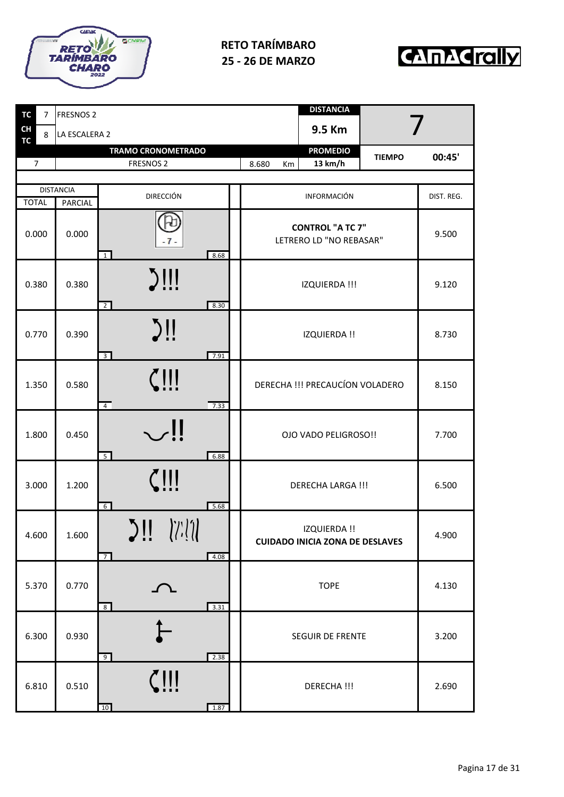



| <b>TC</b><br>$\overline{7}$ | <b>FRESNOS 2</b> |                                                        |                                 | <b>DISTANCIA</b>                                       |               |            |
|-----------------------------|------------------|--------------------------------------------------------|---------------------------------|--------------------------------------------------------|---------------|------------|
| CH<br>8<br><b>TC</b>        | LA ESCALERA 2    |                                                        |                                 | 9.5 Km                                                 |               |            |
| $\overline{7}$              |                  | <b>TRAMO CRONOMETRADO</b><br><b>FRESNOS 2</b>          | 8.680<br>Km                     | <b>PROMEDIO</b><br>13 km/h                             | <b>TIEMPO</b> | 00:45'     |
|                             |                  |                                                        |                                 |                                                        |               |            |
|                             | <b>DISTANCIA</b> |                                                        |                                 |                                                        |               |            |
| <b>TOTAL</b>                | <b>PARCIAL</b>   | <b>DIRECCIÓN</b>                                       |                                 | INFORMACIÓN                                            |               | DIST. REG. |
| 0.000                       | 0.000            | $-7-$<br>8.68<br>$\overline{1}$                        |                                 | <b>CONTROL "A TC 7"</b><br>LETRERO LD "NO REBASAR"     |               | 9.500      |
| 0.380                       | 0.380            | $\sum$<br>8.30<br>$\overline{2}$                       | IZQUIERDA !!!                   |                                                        | 9.120         |            |
| 0.770                       | 0.390            | $\sum$<br>$\overline{3}$<br>7.91                       | <b>IZQUIERDA!!</b>              |                                                        | 8.730         |            |
| 1.350                       | 0.580            | $\zeta$ !!!<br>$\overline{4}$<br>7.33                  | DERECHA !!! PRECAUCÍON VOLADERO |                                                        | 8.150         |            |
| 1.800                       | 0.450            | $\mathop{\cup}$ !!<br>5<br>6.88                        | OJO VADO PELIGROSO!!            |                                                        | 7.700         |            |
| 3.000                       | 1.200            | $\zeta$<br>$6^{\circ}$<br>5.68                         |                                 | <b>DERECHA LARGA !!!</b>                               |               | 6.500      |
| 4.600                       | 1.600            | $\sum$ $\prod$ $\sum$ $\sum$<br>$\overline{7}$<br>4.08 |                                 | IZQUIERDA !!<br><b>CUIDADO INICIA ZONA DE DESLAVES</b> |               | 4.900      |
| 5.370                       | 0.770            | へ<br>3.31<br>8 <sup>8</sup>                            |                                 | <b>TOPE</b>                                            |               | 4.130      |
| 6.300                       | 0.930            | 2.38<br>9                                              |                                 | SEGUIR DE FRENTE                                       |               | 3.200      |
| 6.810                       | 0.510            | $\zeta$ !!!<br>10<br>1.87                              |                                 | DERECHA !!!                                            |               | 2.690      |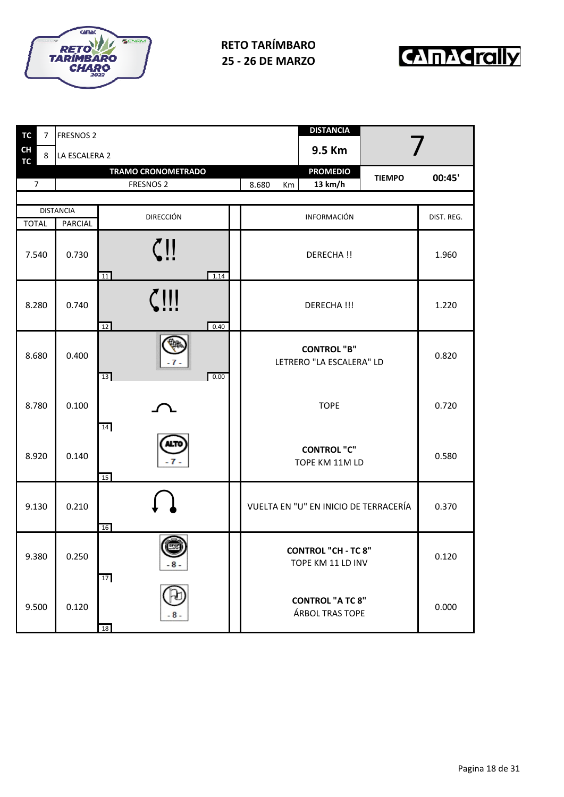



| <b>TC</b>              | 7 | <b>FRESNOS 2</b> |                               | <b>DISTANCIA</b>                                |            |
|------------------------|---|------------------|-------------------------------|-------------------------------------------------|------------|
| <b>CH</b><br><b>TC</b> | 8 | LA ESCALERA 2    |                               | 9.5 Km                                          |            |
|                        |   |                  | <b>TRAMO CRONOMETRADO</b>     | <b>PROMEDIO</b><br><b>TIEMPO</b>                | 00:45'     |
| $\overline{7}$         |   |                  | <b>FRESNOS 2</b>              | 13 km/h<br>8.680<br>Km                          |            |
|                        |   | <b>DISTANCIA</b> |                               |                                                 |            |
| <b>TOTAL</b>           |   | PARCIAL          | <b>DIRECCIÓN</b>              | INFORMACIÓN                                     | DIST. REG. |
| 7.540                  |   | 0.730            | $\mathbf{\psi}$<br>11<br>1.14 | DERECHA !!                                      | 1.960      |
| 8.280                  |   | 0.740            | <u>7      </u><br>0.40<br>12  | DERECHA !!!                                     | 1.220      |
| 8.680                  |   | 0.400            | . 7 .<br>0.00<br>13           | <b>CONTROL "B"</b><br>LETRERO "LA ESCALERA" LD  | 0.820      |
| 8.780                  |   | 0.100            | 14                            | <b>TOPE</b>                                     | 0.720      |
| 8.920                  |   | 0.140            | 15                            | <b>CONTROL "C"</b><br>TOPE KM 11M LD            | 0.580      |
| 9.130                  |   | 0.210            | 16                            | VUELTA EN "U" EN INICIO DE TERRACERÍA           | 0.370      |
| 9.380                  |   | 0.250            | 8 <sup>5</sup><br>17          | <b>CONTROL "CH - TC 8"</b><br>TOPE KM 11 LD INV | 0.120      |
| 9.500                  |   | 0.120            | - 8 -<br>18                   | <b>CONTROL "A TC 8"</b><br>ÁRBOL TRAS TOPE      | 0.000      |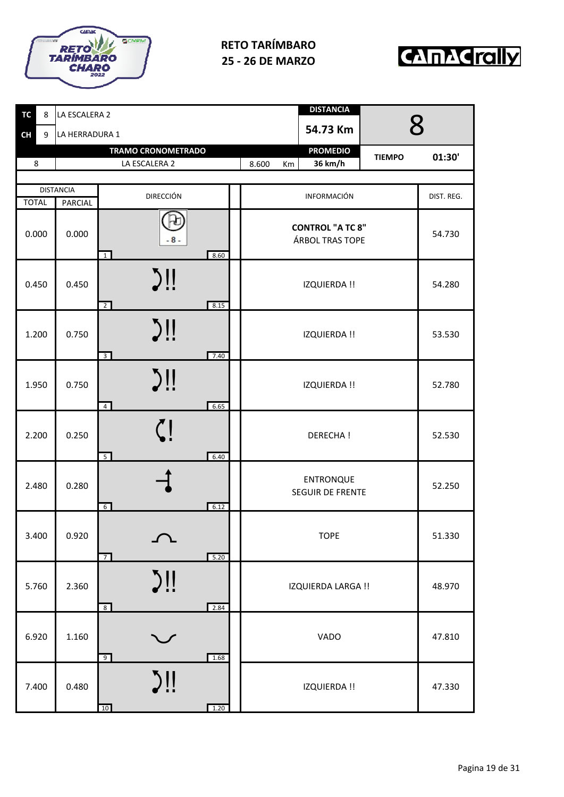



| <b>TC</b><br>8 | LA ESCALERA 2    |                                              | <b>DISTANCIA</b>                            |            |
|----------------|------------------|----------------------------------------------|---------------------------------------------|------------|
| <b>CH</b><br>9 | LA HERRADURA 1   |                                              | 54.73 Km                                    | 8          |
|                |                  | <b>TRAMO CRONOMETRADO</b>                    | <b>PROMEDIO</b><br><b>TIEMPO</b>            | 01:30'     |
| 8              |                  | LA ESCALERA 2                                | 36 km/h<br>8.600<br>Km                      |            |
|                | <b>DISTANCIA</b> | <b>DIRECCIÓN</b>                             | INFORMACIÓN                                 | DIST. REG. |
| <b>TOTAL</b>   | <b>PARCIAL</b>   |                                              |                                             |            |
| 0.000          | 0.000            | $-8-$<br>8.60<br>$\overline{1}$              | <b>CONTROL "A TC 8"</b><br>ÁRBOL TRAS TOPE  | 54.730     |
| 0.450          | 0.450            | $\sum$<br>8.15<br>$\overline{2}$             | <b>IZQUIERDA!!</b>                          | 54.280     |
| 1.200          | 0.750            | $\sum$<br>$\overline{3}$<br>7.40             | <b>IZQUIERDA!!</b>                          | 53.530     |
| 1.950          | 0.750            | $\sum$<br>$\overline{4}$<br>6.65             | <b>IZQUIERDA!!</b>                          | 52.780     |
| 2.200          | 0.250            | 5 <sup>5</sup><br>6.40                       | <b>DERECHA!</b>                             | 52.530     |
| 2.480          | 0.280            | $6\overline{6}$<br>6.12                      | <b>ENTRONQUE</b><br><b>SEGUIR DE FRENTE</b> | 52.250     |
| 3.400          | 0.920            | $\curvearrowright$<br>5.20<br>$\overline{7}$ | <b>TOPE</b>                                 | 51.330     |
| 5.760          | 2.360            | $\sum$<br>2.84<br>$8\overline{8}$            | IZQUIERDA LARGA !!                          | 48.970     |
| 6.920          | 1.160            | $\smash\smile$<br>1.68<br>9                  | VADO                                        | 47.810     |
| 7.400          | 0.480            | $\sum$<br>1.20<br>10                         | IZQUIERDA !!                                | 47.330     |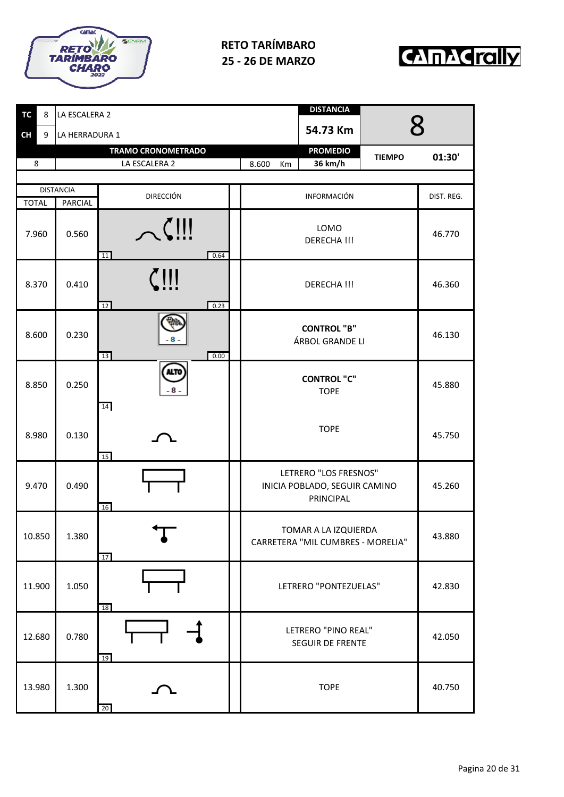



| <b>TC</b><br>8 | LA ESCALERA 2    |                           | <b>DISTANCIA</b>                                                                     |  |
|----------------|------------------|---------------------------|--------------------------------------------------------------------------------------|--|
| <b>CH</b><br>9 | LA HERRADURA 1   |                           | $\mathsf R$<br>54.73 Km                                                              |  |
|                |                  | <b>TRAMO CRONOMETRADO</b> | <b>PROMEDIO</b><br><b>TIEMPO</b><br>01:30'                                           |  |
| 8              |                  | LA ESCALERA 2             | 8.600<br>36 km/h<br>Km                                                               |  |
|                | <b>DISTANCIA</b> |                           |                                                                                      |  |
| <b>TOTAL</b>   | PARCIAL          | <b>DIRECCIÓN</b>          | INFORMACIÓN<br>DIST. REG.                                                            |  |
| 7.960          | 0.560            | $\sim$<br>11<br>0.64      | LOMO<br>46.770<br>DERECHA !!!                                                        |  |
| 8.370          | 0.410            | $\zeta$ !!!<br>12<br>0.23 | <b>DERECHA!!!</b><br>46.360                                                          |  |
| 8.600          | 0.230            | 13<br>0.00                | <b>CONTROL "B"</b><br>46.130<br>ÁRBOL GRANDE LI                                      |  |
| 8.850          | 0.250            | <b>ALTO</b><br>8.<br>14   | <b>CONTROL "C"</b><br>45.880<br><b>TOPE</b>                                          |  |
| 8.980          | 0.130            | 15                        | <b>TOPE</b><br>45.750                                                                |  |
| 9.470          | 0.490            | 16                        | LETRERO "LOS FRESNOS"<br>INICIA POBLADO, SEGUIR CAMINO<br>45.260<br><b>PRINCIPAL</b> |  |
| 10.850         | 1.380            | 17                        | TOMAR A LA IZQUIERDA<br>43.880<br>CARRETERA "MIL CUMBRES - MORELIA"                  |  |
| 11.900         | 1.050            | 18                        | LETRERO "PONTEZUELAS"<br>42.830                                                      |  |
| 12.680         | 0.780            | 19                        | LETRERO "PINO REAL"<br>42.050<br>SEGUIR DE FRENTE                                    |  |
| 13.980         | 1.300            | 20                        | 40.750<br><b>TOPE</b>                                                                |  |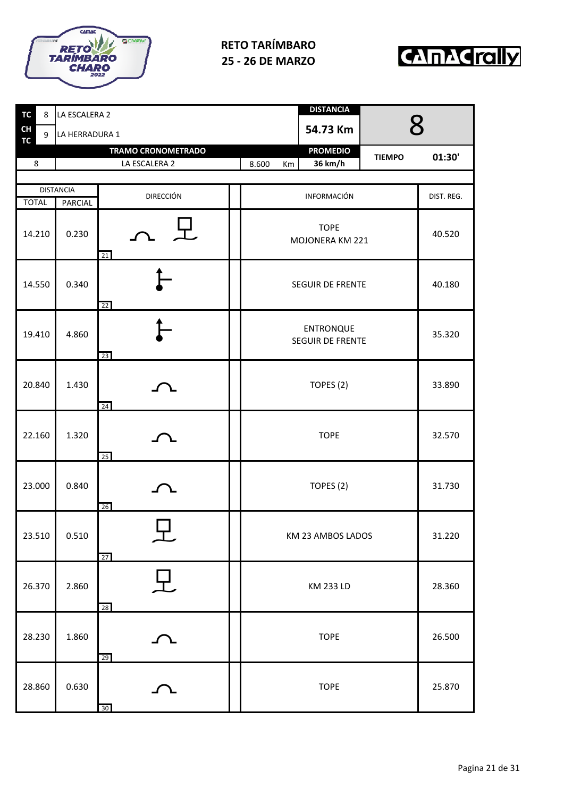



| <b>TC</b><br>8 | LA ESCALERA 2    |                           |                                             | <b>DISTANCIA</b>               |                    |            |
|----------------|------------------|---------------------------|---------------------------------------------|--------------------------------|--------------------|------------|
| CH<br>9<br>TC  | LA HERRADURA 1   |                           |                                             | 54.73 Km                       | $\mathsf{R}% _{T}$ |            |
|                |                  | <b>TRAMO CRONOMETRADO</b> |                                             | <b>PROMEDIO</b>                | <b>TIEMPO</b>      | 01:30'     |
| 8              |                  | LA ESCALERA 2             | 8.600<br>Km                                 | 36 km/h                        |                    |            |
|                | <b>DISTANCIA</b> |                           |                                             |                                |                    |            |
| <b>TOTAL</b>   | <b>PARCIAL</b>   | <b>DIRECCIÓN</b>          |                                             | INFORMACIÓN                    |                    | DIST. REG. |
| 14.210         | 0.230            | 21                        |                                             | <b>TOPE</b><br>MOJONERA KM 221 |                    | 40.520     |
| 14.550         | 0.340            | 22                        | <b>SEGUIR DE FRENTE</b>                     |                                | 40.180             |            |
| 19.410         | 4.860            | 23                        | <b>ENTRONQUE</b><br><b>SEGUIR DE FRENTE</b> |                                | 35.320             |            |
| 20.840         | 1.430            | 24                        | TOPES (2)                                   |                                | 33.890             |            |
| 22.160         | 1.320            | 25                        |                                             | <b>TOPE</b>                    |                    | 32.570     |
| 23.000         | 0.840            | 26                        |                                             | TOPES (2)                      |                    | 31.730     |
| 23.510         | 0.510            | 工<br>27                   |                                             | KM 23 AMBOS LADOS              |                    | 31.220     |
| 26.370         | 2.860            | 兄<br>28                   | KM 233 LD                                   |                                | 28.360             |            |
| 28.230         | 1.860            | て<br>29                   |                                             | <b>TOPE</b>                    |                    | 26.500     |
| 28.860         | 0.630            | 30                        |                                             | <b>TOPE</b>                    |                    | 25.870     |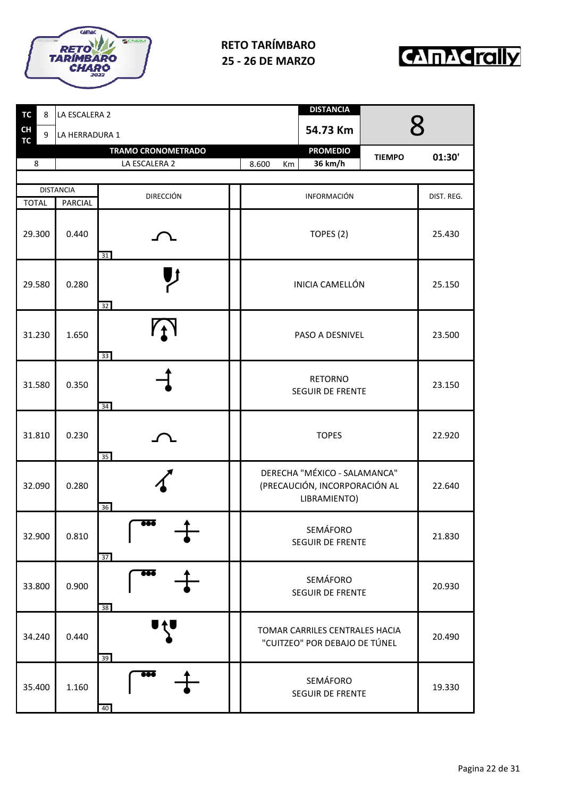



| <b>TC</b>       | 8 | LA ESCALERA 2    |                           |                                    | <b>DISTANCIA</b>                                                              |               |            |
|-----------------|---|------------------|---------------------------|------------------------------------|-------------------------------------------------------------------------------|---------------|------------|
| CH<br><b>TC</b> | 9 | LA HERRADURA 1   |                           |                                    | 54.73 Km                                                                      |               |            |
|                 |   |                  | <b>TRAMO CRONOMETRADO</b> |                                    | <b>PROMEDIO</b>                                                               | <b>TIEMPO</b> | 01:30'     |
| 8               |   |                  | LA ESCALERA 2             | 8.600<br>Km                        | 36 km/h                                                                       |               |            |
|                 |   | <b>DISTANCIA</b> |                           |                                    |                                                                               |               |            |
| <b>TOTAL</b>    |   | <b>PARCIAL</b>   | <b>DIRECCIÓN</b>          |                                    | INFORMACIÓN                                                                   |               | DIST. REG. |
| 29.300          |   | 0.440            | 31                        |                                    | TOPES (2)                                                                     |               | 25.430     |
| 29.580          |   | 0.280            | 32                        |                                    | <b>INICIA CAMELLÓN</b>                                                        |               | 25.150     |
| 31.230          |   | 1.650            | $\gamma$<br>33            | PASO A DESNIVEL                    |                                                                               | 23.500        |            |
| 31.580          |   | 0.350            | 34                        | <b>RETORNO</b><br>SEGUIR DE FRENTE |                                                                               | 23.150        |            |
| 31.810          |   | 0.230            | 35                        |                                    | <b>TOPES</b>                                                                  |               | 22.920     |
| 32.090          |   | 0.280            | 36                        |                                    | DERECHA "MÉXICO - SALAMANCA"<br>(PRECAUCIÓN, INCORPORACIÓN AL<br>LIBRAMIENTO) |               | 22.640     |
| 32.900          |   | 0.810            | <del>00</del> 6<br>37     |                                    | SEMÁFORO<br>SEGUIR DE FRENTE                                                  |               | 21.830     |
| 33.800          |   | 0.900            | ञ्ब<br>38                 |                                    | SEMÁFORO<br>SEGUIR DE FRENTE                                                  |               | 20.930     |
| 34.240          |   | 0.440            | 39                        |                                    | TOMAR CARRILES CENTRALES HACIA<br>"CUITZEO" POR DEBAJO DE TÚNEL               |               | 20.490     |
| 35.400          |   | 1.160            | 666<br>40                 |                                    | SEMÁFORO<br>SEGUIR DE FRENTE                                                  |               | 19.330     |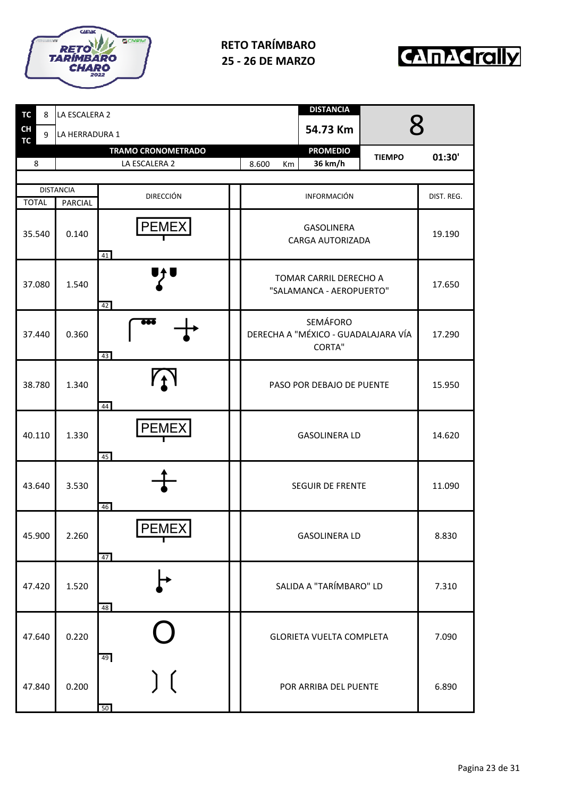



| <b>TC</b><br>8       | LA ESCALERA 2    |                           |                                                    | <b>DISTANCIA</b>                      |               |            |
|----------------------|------------------|---------------------------|----------------------------------------------------|---------------------------------------|---------------|------------|
| <b>CH</b><br>9<br>TC | LA HERRADURA 1   |                           |                                                    | 54.73 Km                              | $8\,$         |            |
|                      |                  | <b>TRAMO CRONOMETRADO</b> |                                                    | <b>PROMEDIO</b>                       | <b>TIEMPO</b> | 01:30'     |
| 8                    |                  | LA ESCALERA 2             | 8.600<br>Km                                        | 36 km/h                               |               |            |
|                      | <b>DISTANCIA</b> | <b>DIRECCIÓN</b>          |                                                    | <b>INFORMACIÓN</b>                    |               | DIST. REG. |
| <b>TOTAL</b>         | <b>PARCIAL</b>   |                           |                                                    |                                       |               |            |
| 35.540               | 0.140            | <b>PEMEX</b><br>41        |                                                    | <b>GASOLINERA</b><br>CARGA AUTORIZADA |               | 19.190     |
| 37.080               | 1.540            | 42                        | TOMAR CARRIL DERECHO A<br>"SALAMANCA - AEROPUERTO" | 17.650                                |               |            |
| 37.440               | 0.360            | ÞØē<br>43                 | DERECHA A "MÉXICO - GUADALAJARA VÍA                | 17.290                                |               |            |
| 38.780               | 1.340            | $Y_1$<br>44               | PASO POR DEBAJO DE PUENTE                          | 15.950                                |               |            |
| 40.110               | 1.330            | <b>PEMEX</b><br>45        | <b>GASOLINERA LD</b>                               | 14.620                                |               |            |
| 43.640               | 3.530            | 46                        | SEGUIR DE FRENTE                                   | 11.090                                |               |            |
| 45.900               | 2.260            | PEMEX<br>47               | <b>GASOLINERA LD</b>                               | 8.830                                 |               |            |
| 47.420               | 1.520            | 48                        | SALIDA A "TARÍMBARO" LD                            |                                       |               | 7.310      |
| 47.640               | 0.220            | 49                        |                                                    | <b>GLORIETA VUELTA COMPLETA</b>       |               | 7.090      |
| 47.840               | 0.200            | 50                        |                                                    | POR ARRIBA DEL PUENTE                 |               | 6.890      |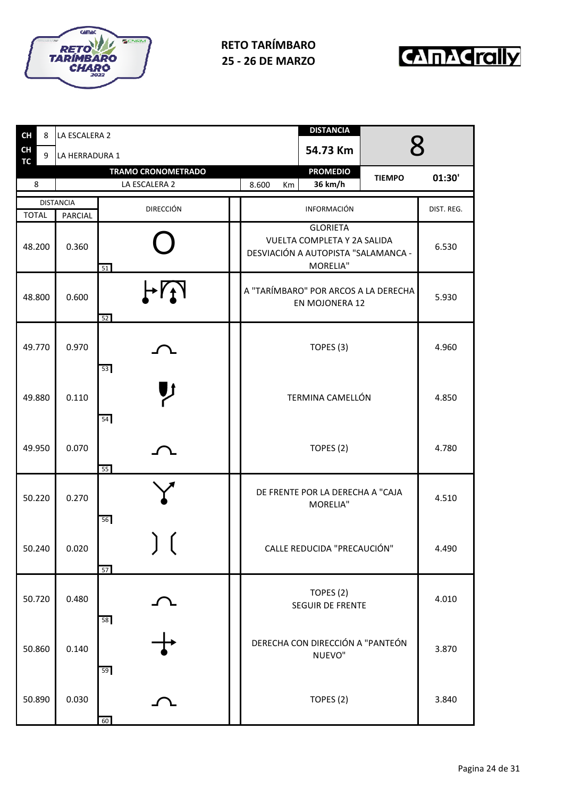



| <b>CH</b>              | 8      | LA ESCALERA 2    |                                            | <b>DISTANCIA</b><br>R                                                                             |            |
|------------------------|--------|------------------|--------------------------------------------|---------------------------------------------------------------------------------------------------|------------|
| <b>CH</b><br><b>TC</b> | 9      | LA HERRADURA 1   |                                            | 54.73 Km                                                                                          |            |
| 8                      |        |                  | <b>TRAMO CRONOMETRADO</b><br>LA ESCALERA 2 | <b>PROMEDIO</b><br><b>TIEMPO</b><br>36 km/h<br>8.600<br>Km                                        | 01:30'     |
|                        |        | <b>DISTANCIA</b> | <b>DIRECCIÓN</b>                           | INFORMACIÓN                                                                                       | DIST. REG. |
| <b>TOTAL</b><br>48.200 |        | PARCIAL<br>0.360 | 51                                         | <b>GLORIETA</b><br>VUELTA COMPLETA Y 2A SALIDA<br>DESVIACIÓN A AUTOPISTA "SALAMANCA -<br>MORELIA" | 6.530      |
| 48.800                 |        | 0.600            | H<br>52                                    | A "TARÍMBARO" POR ARCOS A LA DERECHA<br>EN MOJONERA 12                                            | 5.930      |
| 49.770                 |        | 0.970            | 53                                         | TOPES (3)                                                                                         | 4.960      |
| 49.880                 |        | 0.110            | 54                                         | TERMINA CAMELLÓN                                                                                  | 4.850      |
| 49.950                 |        | 0.070            | 55                                         | TOPES (2)                                                                                         | 4.780      |
| 50.220                 |        | 0.270            | 56                                         | DE FRENTE POR LA DERECHA A "CAJA<br>MORELIA"                                                      | 4.510      |
|                        | 50.240 | 0.020            | ╯╰<br>57                                   | CALLE REDUCIDA "PRECAUCIÓN"                                                                       | 4.490      |
| 50.720                 |        | 0.480            | 58                                         | TOPES (2)<br>SEGUIR DE FRENTE                                                                     | 4.010      |
| 50.860                 |        | 0.140            | 59                                         | DERECHA CON DIRECCIÓN A "PANTEÓN<br>NUEVO"                                                        | 3.870      |
| 50.890                 |        | 0.030            | 60                                         | TOPES (2)                                                                                         | 3.840      |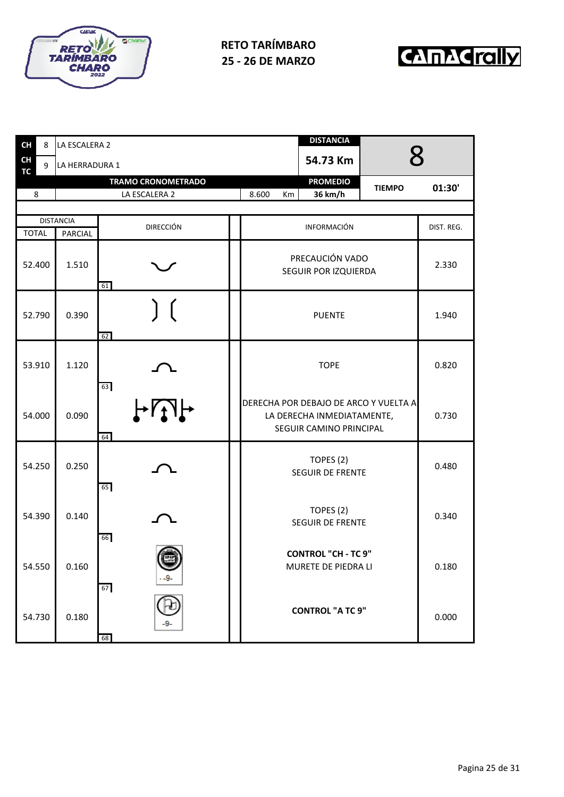



| <b>CH</b><br>8 | LA ESCALERA 2               |                           | <b>DISTANCIA</b>                                                                               |            |
|----------------|-----------------------------|---------------------------|------------------------------------------------------------------------------------------------|------------|
| CH<br>9<br>TG. | LA HERRADURA 1              |                           | 54.73 Km                                                                                       | R          |
|                |                             | <b>TRAMO CRONOMETRADO</b> | <b>PROMEDIO</b><br><b>TIEMPO</b>                                                               |            |
| 8              |                             | LA ESCALERA 2             | 36 km/h<br>8.600<br>Km                                                                         | 01:30'     |
|                |                             |                           |                                                                                                |            |
| <b>TOTAL</b>   | <b>DISTANCIA</b><br>PARCIAL | <b>DIRECCIÓN</b>          | INFORMACIÓN                                                                                    | DIST. REG. |
| 52.400         | 1.510                       | 61                        | PRECAUCIÓN VADO<br>SEGUIR POR IZQUIERDA                                                        | 2.330      |
| 52.790         | 0.390                       | 62                        | <b>PUENTE</b>                                                                                  | 1.940      |
| 53.910         | 1.120                       | 63                        | <b>TOPE</b>                                                                                    | 0.820      |
| 54.000         | 0.090                       | H<br>64                   | DERECHA POR DEBAJO DE ARCO Y VUELTA A<br>LA DERECHA INMEDIATAMENTE,<br>SEGUIR CAMINO PRINCIPAL | 0.730      |
| 54.250         | 0.250                       | 65                        | TOPES (2)<br>SEGUIR DE FRENTE                                                                  | 0.480      |
| 54.390         | 0.140                       | 66                        | TOPES (2)<br>SEGUIR DE FRENTE                                                                  | 0.340      |
| 54.550         | 0.160                       | 67                        | <b>CONTROL "CH - TC 9"</b><br>MURETE DE PIEDRA LI                                              | 0.180      |
| 54.730         | 0.180                       | 68                        | <b>CONTROL "A TC 9"</b>                                                                        | 0.000      |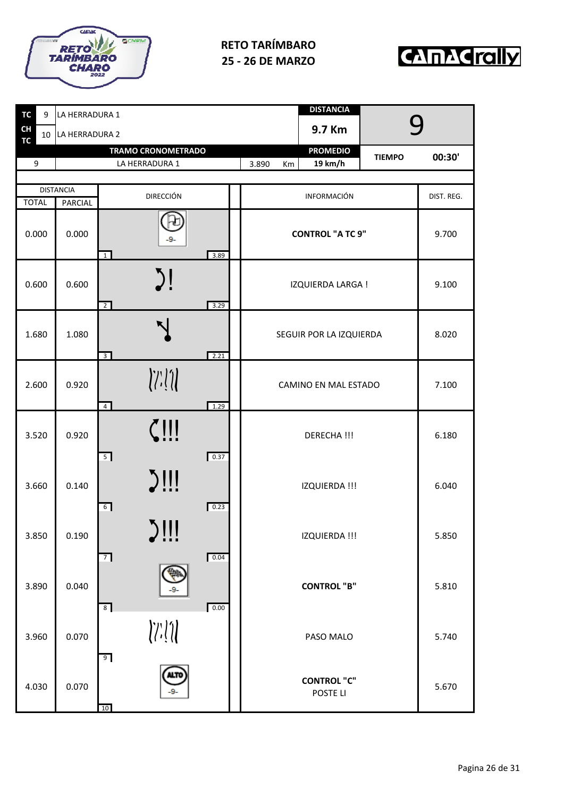



| <b>TC</b><br>9         | LA HERRADURA 1    |                                                                                                                                                                                                                                                                                                                                                                                                                                                                                                                                                                                                                                                                                                                                                                 |                      | <b>DISTANCIA</b>               |               |            |  |
|------------------------|-------------------|-----------------------------------------------------------------------------------------------------------------------------------------------------------------------------------------------------------------------------------------------------------------------------------------------------------------------------------------------------------------------------------------------------------------------------------------------------------------------------------------------------------------------------------------------------------------------------------------------------------------------------------------------------------------------------------------------------------------------------------------------------------------|----------------------|--------------------------------|---------------|------------|--|
| <b>CH</b><br><b>TC</b> | 10 LA HERRADURA 2 |                                                                                                                                                                                                                                                                                                                                                                                                                                                                                                                                                                                                                                                                                                                                                                 |                      | 9.7 Km                         |               |            |  |
| 9                      |                   | <b>TRAMO CRONOMETRADO</b><br>LA HERRADURA 1                                                                                                                                                                                                                                                                                                                                                                                                                                                                                                                                                                                                                                                                                                                     | 3.890<br>Km          | <b>PROMEDIO</b><br>19 km/h     | <b>TIEMPO</b> | 00:30'     |  |
|                        |                   |                                                                                                                                                                                                                                                                                                                                                                                                                                                                                                                                                                                                                                                                                                                                                                 |                      |                                |               |            |  |
|                        | <b>DISTANCIA</b>  | <b>DIRECCIÓN</b>                                                                                                                                                                                                                                                                                                                                                                                                                                                                                                                                                                                                                                                                                                                                                |                      | INFORMACIÓN                    |               | DIST. REG. |  |
| <b>TOTAL</b>           | <b>PARCIAL</b>    |                                                                                                                                                                                                                                                                                                                                                                                                                                                                                                                                                                                                                                                                                                                                                                 |                      |                                |               |            |  |
| 0.000                  | 0.000             | 9.<br>3.89<br>$\overline{1}$                                                                                                                                                                                                                                                                                                                                                                                                                                                                                                                                                                                                                                                                                                                                    |                      | <b>CONTROL "A TC 9"</b>        |               | 9.700      |  |
| 0.600                  | 0.600             | $\sum$<br>3.29<br>$\overline{2}$                                                                                                                                                                                                                                                                                                                                                                                                                                                                                                                                                                                                                                                                                                                                |                      | IZQUIERDA LARGA !              |               |            |  |
| 1.680                  | 1.080             | 2.21<br>$\overline{3}$                                                                                                                                                                                                                                                                                                                                                                                                                                                                                                                                                                                                                                                                                                                                          |                      | SEGUIR POR LA IZQUIERDA        |               | 8.020      |  |
| 2.600                  | 0.920             | $\left\langle \left\langle \left\langle \cdot\right\rangle \right\rangle \right\rangle \left\langle \left\langle \cdot\right\rangle \right\rangle \left\langle \cdot\right\rangle \left\langle \cdot\right\rangle \left\langle \cdot\right\rangle \left\langle \cdot\right\rangle \left\langle \cdot\right\rangle \left\langle \cdot\right\rangle \left\langle \cdot\right\rangle \left\langle \cdot\right\rangle \left\langle \cdot\right\rangle \left\langle \cdot\right\rangle \left\langle \cdot\right\rangle \left\langle \cdot\right\rangle \left\langle \cdot\right\rangle \left\langle \cdot\right\rangle \left\langle \cdot\right\rangle \left\langle \cdot\right\rangle \left\langle \cdot\right\rangle \left\langle \cdot$<br>$\overline{4}$<br>1.29 | CAMINO EN MAL ESTADO | 7.100                          |               |            |  |
| 3.520                  | 0.920             | $\boxed{0.37}$<br>$\overline{5}$                                                                                                                                                                                                                                                                                                                                                                                                                                                                                                                                                                                                                                                                                                                                |                      | DERECHA !!!                    |               | 6.180      |  |
| 3.660                  | 0.140             | $5$ !!!<br>0.23<br>6                                                                                                                                                                                                                                                                                                                                                                                                                                                                                                                                                                                                                                                                                                                                            |                      | IZQUIERDA !!!                  |               | 6.040      |  |
| 3.850                  | 0.190             | $\sum$                                                                                                                                                                                                                                                                                                                                                                                                                                                                                                                                                                                                                                                                                                                                                          |                      | IZQUIERDA !!!                  |               | 5.850      |  |
| 3.890                  | 0.040             | $7 \square$<br>0.04<br>0.00<br>8 <sup>1</sup>                                                                                                                                                                                                                                                                                                                                                                                                                                                                                                                                                                                                                                                                                                                   |                      | <b>CONTROL "B"</b>             |               | 5.810      |  |
| 3.960                  | 0.070             | $\left\langle \left\langle \left\langle \cdot\right\rangle \right\rangle \right\rangle \left\langle \cdot\right\rangle \left\langle \cdot\right\rangle \left\langle \cdot\right\rangle \left\langle \cdot\right\rangle \left\langle \cdot\right\rangle \left\langle \cdot\right\rangle \left\langle \cdot\right\rangle \left\langle \cdot\right\rangle \left\langle \cdot\right\rangle \left\langle \cdot\right\rangle \left\langle \cdot\right\rangle \left\langle \cdot\right\rangle \left\langle \cdot\right\rangle \left\langle \cdot\right\rangle \left\langle \cdot\right\rangle \left\langle \cdot\right\rangle \left\langle \cdot\right\rangle \left\langle \cdot\right\rangle \left\langle \cdot\right\rangle \left\langle$<br>9                       |                      | PASO MALO                      |               | 5.740      |  |
| 4.030                  | 0.070             | LТC<br>10                                                                                                                                                                                                                                                                                                                                                                                                                                                                                                                                                                                                                                                                                                                                                       |                      | <b>CONTROL "C"</b><br>POSTE LI |               | 5.670      |  |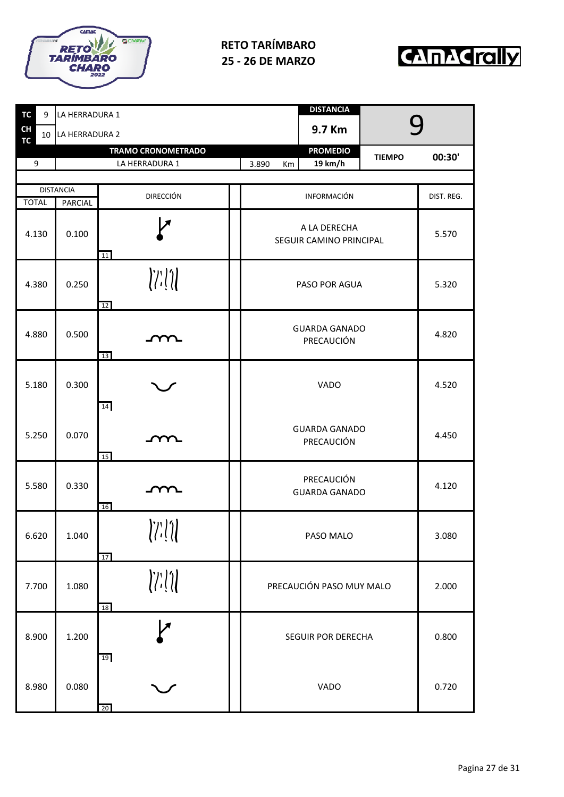



| <b>TC</b>              | 9 | LA HERRADURA 1    |                                                                                                                                                                                                                                                                                                                                                                                                                                                                                                                                                                                                                                                                                                                                             |                                         | <b>DISTANCIA</b>                   |               |            |
|------------------------|---|-------------------|---------------------------------------------------------------------------------------------------------------------------------------------------------------------------------------------------------------------------------------------------------------------------------------------------------------------------------------------------------------------------------------------------------------------------------------------------------------------------------------------------------------------------------------------------------------------------------------------------------------------------------------------------------------------------------------------------------------------------------------------|-----------------------------------------|------------------------------------|---------------|------------|
| <b>CH</b><br><b>TC</b> |   | 10 LA HERRADURA 2 |                                                                                                                                                                                                                                                                                                                                                                                                                                                                                                                                                                                                                                                                                                                                             |                                         | 9.7 Km                             |               |            |
|                        |   |                   | <b>TRAMO CRONOMETRADO</b>                                                                                                                                                                                                                                                                                                                                                                                                                                                                                                                                                                                                                                                                                                                   |                                         | <b>PROMEDIO</b>                    | <b>TIEMPO</b> | 00:30'     |
| 9                      |   | LA HERRADURA 1    |                                                                                                                                                                                                                                                                                                                                                                                                                                                                                                                                                                                                                                                                                                                                             | 3.890<br>Km                             | 19 km/h                            |               |            |
|                        |   | <b>DISTANCIA</b>  |                                                                                                                                                                                                                                                                                                                                                                                                                                                                                                                                                                                                                                                                                                                                             |                                         |                                    |               |            |
| <b>TOTAL</b>           |   | <b>PARCIAL</b>    | <b>DIRECCIÓN</b>                                                                                                                                                                                                                                                                                                                                                                                                                                                                                                                                                                                                                                                                                                                            |                                         | INFORMACIÓN                        |               | DIST. REG. |
| 4.130                  |   | 0.100             | Я<br>11                                                                                                                                                                                                                                                                                                                                                                                                                                                                                                                                                                                                                                                                                                                                     | A LA DERECHA<br>SEGUIR CAMINO PRINCIPAL |                                    |               | 5.570      |
| 4.380                  |   | 0.250             | $\left\langle \left\langle \left\langle \cdot\right\rangle \right\rangle \right\rangle \left\langle \left\langle \cdot\right\rangle \right\rangle \left\langle \cdot\right\rangle \left\langle \cdot\right\rangle \left\langle \cdot\right\rangle \left\langle \cdot\right\rangle \left\langle \cdot\right\rangle \left\langle \cdot\right\rangle \left\langle \cdot\right\rangle \left\langle \cdot\right\rangle \left\langle \cdot\right\rangle \left\langle \cdot\right\rangle \left\langle \cdot\right\rangle \left\langle \cdot\right\rangle \left\langle \cdot\right\rangle \left\langle \cdot\right\rangle \left\langle \cdot\right\rangle \left\langle \cdot\right\rangle \left\langle \cdot\right\rangle \left\langle \cdot$<br>12 |                                         | PASO POR AGUA                      |               | 5.320      |
| 4.880                  |   | 0.500             | YY<br>13                                                                                                                                                                                                                                                                                                                                                                                                                                                                                                                                                                                                                                                                                                                                    | <b>GUARDA GANADO</b>                    |                                    | 4.820         |            |
| 5.180                  |   | 0.300             | 14                                                                                                                                                                                                                                                                                                                                                                                                                                                                                                                                                                                                                                                                                                                                          |                                         |                                    | 4.520         |            |
| 5.250                  |   | 0.070             | m<br>15                                                                                                                                                                                                                                                                                                                                                                                                                                                                                                                                                                                                                                                                                                                                     |                                         | <b>GUARDA GANADO</b><br>PRECAUCIÓN |               | 4.450      |
| 5.580                  |   | 0.330             | <u>m</u><br>16                                                                                                                                                                                                                                                                                                                                                                                                                                                                                                                                                                                                                                                                                                                              |                                         | PRECAUCIÓN<br><b>GUARDA GANADO</b> |               | 4.120      |
| 6.620                  |   | 1.040             | $\left\langle \left\langle \cdot ,\cdot \right\rangle \right\rangle \left\langle \cdot ,\cdot \right\rangle \left\langle \cdot ,\cdot \right\rangle \left\langle \cdot ,\cdot \right\rangle \left\langle \cdot ,\cdot \right\rangle \left\langle \cdot ,\cdot \right\rangle \left\langle \cdot ,\cdot \right\rangle \left\langle \cdot ,\cdot \right\rangle \left\langle \cdot ,\cdot \right\rangle \left\langle \cdot ,\cdot \right\rangle \left\langle \cdot ,\cdot \right\rangle \left\langle \cdot ,\cdot \right\rangle \left\langle \cdot ,\cdot \right\rangle \left\langle \cdot ,\cdot \right\rangle \left\langle \cdot ,\cdot \right\rangle \left\langle \cdot ,\cdot \right\rangle \left\langle$<br>17                             | PASO MALO                               |                                    |               | 3.080      |
| 7.700                  |   | 1.080             | $\left\langle \left\langle \left\langle \cdot\right\rangle \right\rangle \right\rangle \left\langle \left\langle \cdot\right\rangle \right\rangle \left\langle \cdot\right\rangle \left\langle \cdot\right\rangle \left\langle \cdot\right\rangle \left\langle \cdot\right\rangle \left\langle \cdot\right\rangle \left\langle \cdot\right\rangle \left\langle \cdot\right\rangle \left\langle \cdot\right\rangle \left\langle \cdot\right\rangle \left\langle \cdot\right\rangle \left\langle \cdot\right\rangle \left\langle \cdot\right\rangle \left\langle \cdot\right\rangle \left\langle \cdot\right\rangle \left\langle \cdot\right\rangle \left\langle \cdot\right\rangle \left\langle \cdot\right\rangle \left\langle \cdot$<br>18 | PRECAUCIÓN PASO MUY MALO                |                                    |               | 2.000      |
| 8.900                  |   | 1.200             | レ<br>19                                                                                                                                                                                                                                                                                                                                                                                                                                                                                                                                                                                                                                                                                                                                     | <b>SEGUIR POR DERECHA</b>               |                                    | 0.800         |            |
| 8.980                  |   | 0.080             | 20                                                                                                                                                                                                                                                                                                                                                                                                                                                                                                                                                                                                                                                                                                                                          | VADO                                    |                                    |               | 0.720      |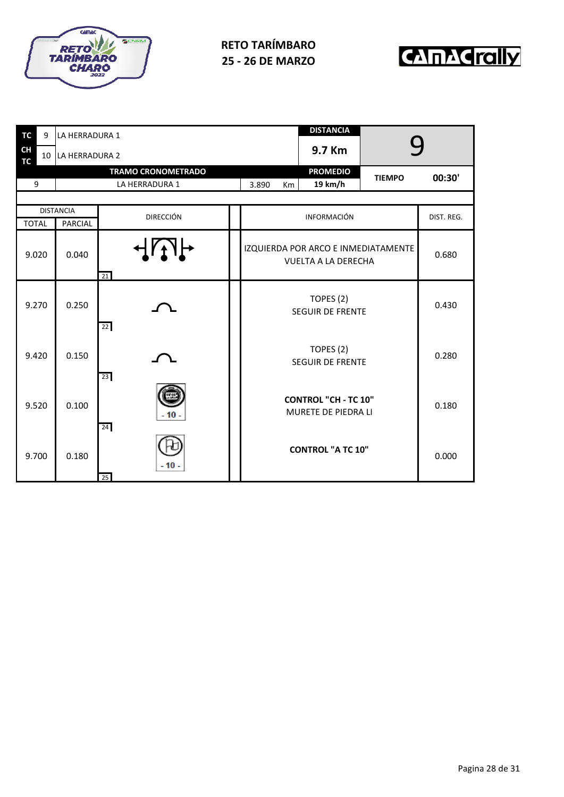



| <b>TC</b>              | 9     | LA HERRADURA 1   |                           |                                                                   | <b>DISTANCIA</b>   |               |            |
|------------------------|-------|------------------|---------------------------|-------------------------------------------------------------------|--------------------|---------------|------------|
| <b>CH</b><br><b>TC</b> | 10    | LA HERRADURA 2   |                           |                                                                   | 9.7 Km             |               |            |
|                        |       |                  | <b>TRAMO CRONOMETRADO</b> |                                                                   | <b>PROMEDIO</b>    | <b>TIEMPO</b> | 00:30'     |
|                        | 9     |                  | LA HERRADURA 1            | 3.890<br>Km                                                       | 19 km/h            |               |            |
|                        |       | <b>DISTANCIA</b> |                           |                                                                   |                    |               |            |
| <b>TOTAL</b>           |       | <b>PARCIAL</b>   | <b>DIRECCIÓN</b>          |                                                                   | <b>INFORMACIÓN</b> |               | DIST. REG. |
|                        | 9.020 | 0.040            | $\overline{4}$<br>21      | IZQUIERDA POR ARCO E INMEDIATAMENTE<br><b>VUELTA A LA DERECHA</b> | 0.680              |               |            |
|                        | 9.270 | 0.250            | 22                        | <b>SEGUIR DE FRENTE</b>                                           | 0.430              |               |            |
| 9.420                  |       | 0.150            | 23                        | <b>SEGUIR DE FRENTE</b>                                           | 0.280              |               |            |
|                        | 9.520 | 0.100            | $-10-$<br>24              | <b>CONTROL "CH - TC 10"</b><br>MURETE DE PIEDRA LI                | 0.180              |               |            |
|                        | 9.700 | 0.180            | - 10 -<br>25              | <b>CONTROL "A TC 10"</b>                                          |                    | 0.000         |            |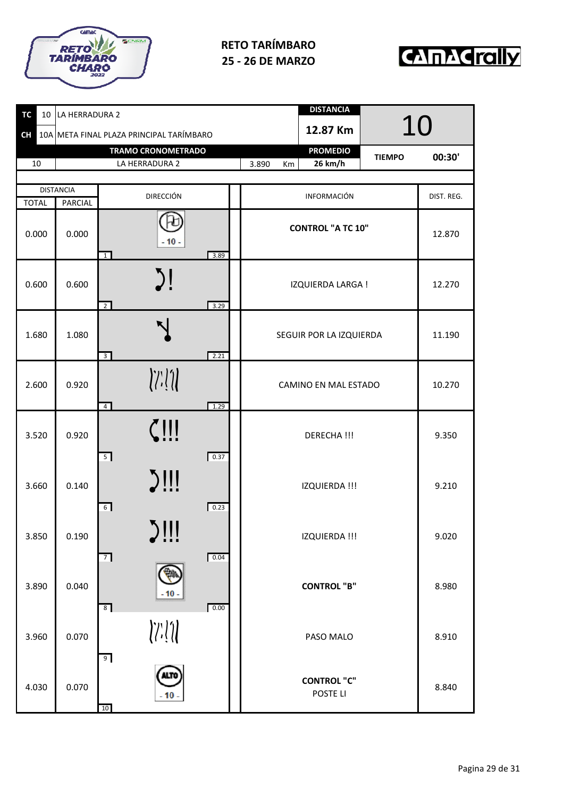



| TC<br>10     | LA HERRADURA 2   |                                                                                                                                                                                                                                                                                                                                                                                                                                                                                                                                                                                                                                                                                                                                                                 | <b>DISTANCIA</b>                 |            |
|--------------|------------------|-----------------------------------------------------------------------------------------------------------------------------------------------------------------------------------------------------------------------------------------------------------------------------------------------------------------------------------------------------------------------------------------------------------------------------------------------------------------------------------------------------------------------------------------------------------------------------------------------------------------------------------------------------------------------------------------------------------------------------------------------------------------|----------------------------------|------------|
| <b>CH</b>    |                  | 10A META FINAL PLAZA PRINCIPAL TARÍMBARO                                                                                                                                                                                                                                                                                                                                                                                                                                                                                                                                                                                                                                                                                                                        | 12.87 Km                         | 10         |
|              |                  | <b>TRAMO CRONOMETRADO</b>                                                                                                                                                                                                                                                                                                                                                                                                                                                                                                                                                                                                                                                                                                                                       | <b>PROMEDIO</b><br><b>TIEMPO</b> | 00:30'     |
| 10           |                  | LA HERRADURA 2                                                                                                                                                                                                                                                                                                                                                                                                                                                                                                                                                                                                                                                                                                                                                  | 26 km/h<br>3.890<br>Km           |            |
|              | <b>DISTANCIA</b> |                                                                                                                                                                                                                                                                                                                                                                                                                                                                                                                                                                                                                                                                                                                                                                 |                                  |            |
| <b>TOTAL</b> | <b>PARCIAL</b>   | <b>DIRECCIÓN</b>                                                                                                                                                                                                                                                                                                                                                                                                                                                                                                                                                                                                                                                                                                                                                | INFORMACIÓN                      | DIST. REG. |
| 0.000        | 0.000            | $-10-$<br>3.89<br>$\mathbf{1}$                                                                                                                                                                                                                                                                                                                                                                                                                                                                                                                                                                                                                                                                                                                                  | <b>CONTROL "A TC 10"</b>         | 12.870     |
| 0.600        | 0.600            | $\sum$<br>3.29<br>$\overline{2}$                                                                                                                                                                                                                                                                                                                                                                                                                                                                                                                                                                                                                                                                                                                                | IZQUIERDA LARGA !                | 12.270     |
| 1.680        | 1.080            | $\overline{3}$<br>2.21                                                                                                                                                                                                                                                                                                                                                                                                                                                                                                                                                                                                                                                                                                                                          | SEGUIR POR LA IZQUIERDA          | 11.190     |
| 2.600        | 0.920            | $\left\langle \left\langle \left\langle \cdot\right\rangle \right\rangle \right\rangle \left\langle \left\langle \cdot\right\rangle \right\rangle \left\langle \cdot\right\rangle \left\langle \cdot\right\rangle \left\langle \cdot\right\rangle \left\langle \cdot\right\rangle \left\langle \cdot\right\rangle \left\langle \cdot\right\rangle \left\langle \cdot\right\rangle \left\langle \cdot\right\rangle \left\langle \cdot\right\rangle \left\langle \cdot\right\rangle \left\langle \cdot\right\rangle \left\langle \cdot\right\rangle \left\langle \cdot\right\rangle \left\langle \cdot\right\rangle \left\langle \cdot\right\rangle \left\langle \cdot\right\rangle \left\langle \cdot\right\rangle \left\langle \cdot$<br>1.29<br>$\overline{4}$ | CAMINO EN MAL ESTADO             | 10.270     |
| 3.520        | 0.920            | $\zeta$ !!!<br>5<br>0.37                                                                                                                                                                                                                                                                                                                                                                                                                                                                                                                                                                                                                                                                                                                                        | DERECHA !!!                      | 9.350      |
| 3.660        | 0.140            | $J$ !!!<br>0.23<br>6                                                                                                                                                                                                                                                                                                                                                                                                                                                                                                                                                                                                                                                                                                                                            | IZQUIERDA !!!                    | 9.210      |
| 3.850        | 0.190            | <b>KIII</b><br>!!!                                                                                                                                                                                                                                                                                                                                                                                                                                                                                                                                                                                                                                                                                                                                              | IZQUIERDA !!!                    | 9.020      |
| 3.890        | 0.040            | 0.04<br>7<br>$-10-$<br>0.00<br>8 <sup>1</sup>                                                                                                                                                                                                                                                                                                                                                                                                                                                                                                                                                                                                                                                                                                                   | <b>CONTROL "B"</b>               | 8.980      |
| 3.960        | 0.070            | 9                                                                                                                                                                                                                                                                                                                                                                                                                                                                                                                                                                                                                                                                                                                                                               | PASO MALO                        | 8.910      |
| 4.030        | 0.070            | <b>ALTO</b><br>$-10$<br>10                                                                                                                                                                                                                                                                                                                                                                                                                                                                                                                                                                                                                                                                                                                                      | <b>CONTROL "C"</b><br>POSTE LI   | 8.840      |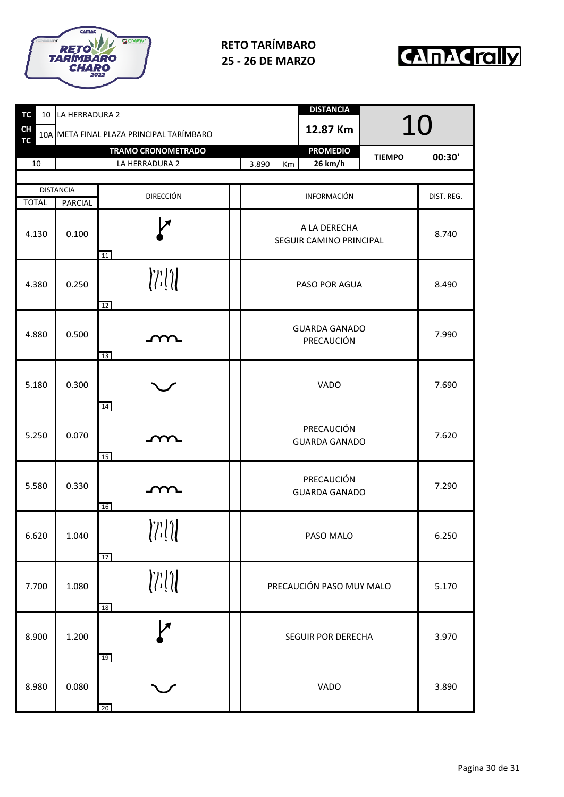



| TC<br>10               | LA HERRADURA 2   |                                                                                                                                                                                                                                                                                                                                                                                                                                                                                                                                                                                                                                                                                                                                            |                      | <b>DISTANCIA</b>                        |               |            |  |
|------------------------|------------------|--------------------------------------------------------------------------------------------------------------------------------------------------------------------------------------------------------------------------------------------------------------------------------------------------------------------------------------------------------------------------------------------------------------------------------------------------------------------------------------------------------------------------------------------------------------------------------------------------------------------------------------------------------------------------------------------------------------------------------------------|----------------------|-----------------------------------------|---------------|------------|--|
| <b>CH</b><br><b>TC</b> |                  | 10A META FINAL PLAZA PRINCIPAL TARÍMBARO                                                                                                                                                                                                                                                                                                                                                                                                                                                                                                                                                                                                                                                                                                   |                      | 12.87 Km                                | 10            |            |  |
|                        |                  | <b>TRAMO CRONOMETRADO</b>                                                                                                                                                                                                                                                                                                                                                                                                                                                                                                                                                                                                                                                                                                                  |                      | <b>PROMEDIO</b>                         | <b>TIEMPO</b> | 00:30'     |  |
| 10                     |                  | LA HERRADURA 2                                                                                                                                                                                                                                                                                                                                                                                                                                                                                                                                                                                                                                                                                                                             | 3.890<br>Km          | 26 km/h                                 |               |            |  |
|                        | <b>DISTANCIA</b> | <b>DIRECCIÓN</b>                                                                                                                                                                                                                                                                                                                                                                                                                                                                                                                                                                                                                                                                                                                           |                      | INFORMACIÓN                             |               | DIST. REG. |  |
| <b>TOTAL</b>           | <b>PARCIAL</b>   |                                                                                                                                                                                                                                                                                                                                                                                                                                                                                                                                                                                                                                                                                                                                            |                      |                                         |               |            |  |
| 4.130                  | 0.100            | 11                                                                                                                                                                                                                                                                                                                                                                                                                                                                                                                                                                                                                                                                                                                                         |                      | A LA DERECHA<br>SEGUIR CAMINO PRINCIPAL |               |            |  |
| 4.380                  | 0.250            | $\left\langle \left\langle \cdot\right\rangle \right\rangle \left\langle \cdot\right\rangle \left\langle \cdot\right\rangle \left\langle \cdot\right\rangle \left\langle \cdot\right\rangle \left\langle \cdot\right\rangle \left\langle \cdot\right\rangle \left\langle \cdot\right\rangle \left\langle \cdot\right\rangle \left\langle \cdot\right\rangle \left\langle \cdot\right\rangle \left\langle \cdot\right\rangle \left\langle \cdot\right\rangle \left\langle \cdot\right\rangle \left\langle \cdot\right\rangle \left\langle \cdot\right\rangle \left\langle \cdot\right\rangle \left\langle \cdot\right\rangle \left\langle \cdot\right\rangle \left\langle \cdot\right\rangle \left\langle \cdot\right\rangle \left$<br>12   |                      | PASO POR AGUA                           |               |            |  |
| 4.880                  | 0.500            | YY<br>13                                                                                                                                                                                                                                                                                                                                                                                                                                                                                                                                                                                                                                                                                                                                   | <b>GUARDA GANADO</b> | 7.990                                   |               |            |  |
| 5.180                  | 0.300            | 14                                                                                                                                                                                                                                                                                                                                                                                                                                                                                                                                                                                                                                                                                                                                         |                      | 7.690                                   |               |            |  |
| 5.250                  | 0.070            | 15                                                                                                                                                                                                                                                                                                                                                                                                                                                                                                                                                                                                                                                                                                                                         | <b>GUARDA GANADO</b> | 7.620                                   |               |            |  |
| 5.580                  | 0.330            | m.<br>16                                                                                                                                                                                                                                                                                                                                                                                                                                                                                                                                                                                                                                                                                                                                   |                      | PRECAUCIÓN<br><b>GUARDA GANADO</b>      |               |            |  |
| 6.620                  | 1.040            | $\left\langle \left\langle \left\langle \cdot\right\rangle \right\rangle \right\rangle \left\langle \cdot\right\rangle \left\langle \cdot\right\rangle \left\langle \cdot\right\rangle \left\langle \cdot\right\rangle \left\langle \cdot\right\rangle \left\langle \cdot\right\rangle \left\langle \cdot\right\rangle \left\langle \cdot\right\rangle \left\langle \cdot\right\rangle \left\langle \cdot\right\rangle \left\langle \cdot\right\rangle \left\langle \cdot\right\rangle \left\langle \cdot\right\rangle \left\langle \cdot\right\rangle \left\langle \cdot\right\rangle \left\langle \cdot\right\rangle \left\langle \cdot\right\rangle \left\langle \cdot\right\rangle \left\langle \cdot\right\rangle \left\langle$<br>17 |                      | PASO MALO                               |               |            |  |
| 7.700                  | 1.080            | $\left\langle \left\langle \left\langle \cdot\right\rangle \right\rangle \right\rangle \left\langle \cdot\right\rangle \left\langle \cdot\right\rangle \left\langle \cdot\right\rangle \left\langle \cdot\right\rangle \left\langle \cdot\right\rangle \left\langle \cdot\right\rangle \left\langle \cdot\right\rangle \left\langle \cdot\right\rangle \left\langle \cdot\right\rangle \left\langle \cdot\right\rangle \left\langle \cdot\right\rangle \left\langle \cdot\right\rangle \left\langle \cdot\right\rangle \left\langle \cdot\right\rangle \left\langle \cdot\right\rangle \left\langle \cdot\right\rangle \left\langle \cdot\right\rangle \left\langle \cdot\right\rangle \left\langle \cdot\right\rangle \left\langle$<br>18 |                      | PRECAUCIÓN PASO MUY MALO                |               |            |  |
| 8.900                  | 1.200            | 1Я<br>19                                                                                                                                                                                                                                                                                                                                                                                                                                                                                                                                                                                                                                                                                                                                   |                      | SEGUIR POR DERECHA                      |               | 3.970      |  |
| 8.980                  | 0.080            | 20                                                                                                                                                                                                                                                                                                                                                                                                                                                                                                                                                                                                                                                                                                                                         |                      | VADO                                    |               | 3.890      |  |